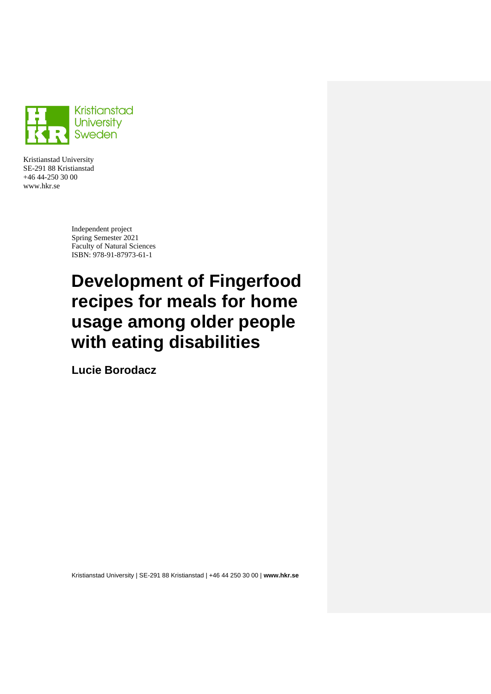

Kristianstad University SE-291 88 Kristianstad +46 44-250 30 00 www.hkr.se

> Independent project Spring Semester 2021 Faculty of Natural Sciences ISBN: 978-91-87973-61-1

# **Development of Fingerfood recipes for meals for home usage among older people with eating disabilities**

**Lucie Borodacz**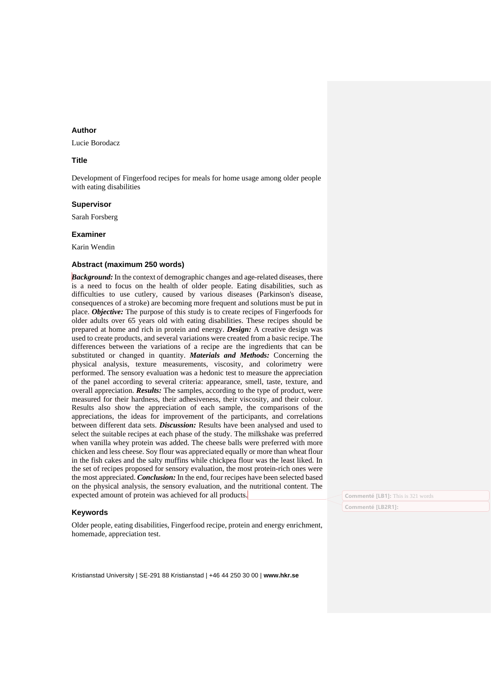#### **Author**

Lucie Borodacz

#### **Title**

Development of Fingerfood recipes for meals for home usage among older people with eating disabilities

#### **Supervisor**

Sarah Forsberg

#### **Examiner**

Karin Wendin

#### **Abstract (maximum 250 words)**

*Background:* In the context of demographic changes and age-related diseases, there is a need to focus on the health of older people. Eating disabilities, such as difficulties to use cutlery, caused by various diseases (Parkinson's disease, consequences of a stroke) are becoming more frequent and solutions must be put in place. *Objective:* The purpose of this study is to create recipes of Fingerfoods for older adults over 65 years old with eating disabilities. These recipes should be prepared at home and rich in protein and energy. *Design:* A creative design was used to create products, and several variations were created from a basic recipe. The differences between the variations of a recipe are the ingredients that can be substituted or changed in quantity. *Materials and Methods:* Concerning the physical analysis, texture measurements, viscosity, and colorimetry were performed. The sensory evaluation was a hedonic test to measure the appreciation of the panel according to several criteria: appearance, smell, taste, texture, and overall appreciation. *Results:* The samples, according to the type of product, were measured for their hardness, their adhesiveness, their viscosity, and their colour. Results also show the appreciation of each sample, the comparisons of the appreciations, the ideas for improvement of the participants, and correlations between different data sets. *Discussion:* Results have been analysed and used to select the suitable recipes at each phase of the study. The milkshake was preferred when vanilla whey protein was added. The cheese balls were preferred with more chicken and less cheese. Soy flour was appreciated equally or more than wheat flour in the fish cakes and the salty muffins while chickpea flour was the least liked. In the set of recipes proposed for sensory evaluation, the most protein-rich ones were the most appreciated. *Conclusion:* In the end, four recipes have been selected based on the physical analysis, the sensory evaluation, and the nutritional content. The expected amount of protein was achieved for all products.

#### **Keywords**

Older people, eating disabilities, Fingerfood recipe, protein and energy enrichment, homemade, appreciation test.

Kristianstad University | SE-291 88 Kristianstad | +46 44 250 30 00 | **www.hkr.se**

**Commenté [LB1]:** This is 321 words

**Commenté [LB2R1]:**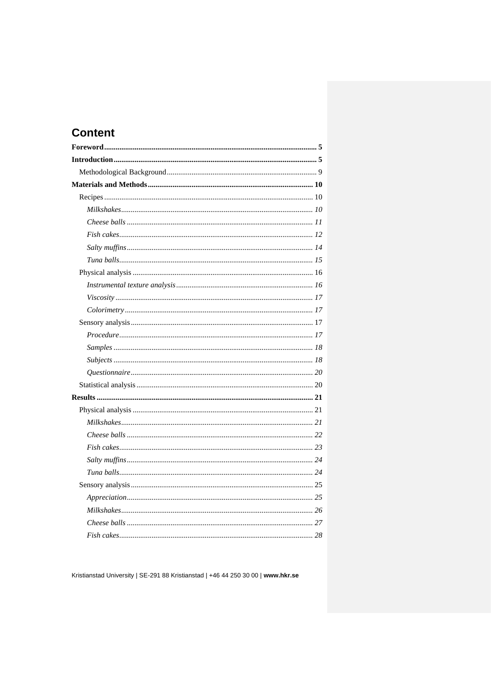# **Content**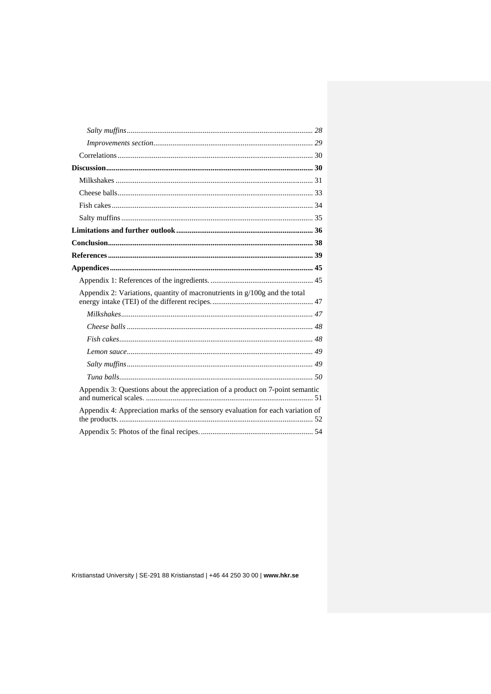| Appendix 2: Variations, quantity of macronutrients in $g/100g$ and the total   |  |
|--------------------------------------------------------------------------------|--|
|                                                                                |  |
|                                                                                |  |
|                                                                                |  |
|                                                                                |  |
|                                                                                |  |
|                                                                                |  |
| Appendix 3: Questions about the appreciation of a product on 7-point semantic  |  |
| Appendix 4: Appreciation marks of the sensory evaluation for each variation of |  |
|                                                                                |  |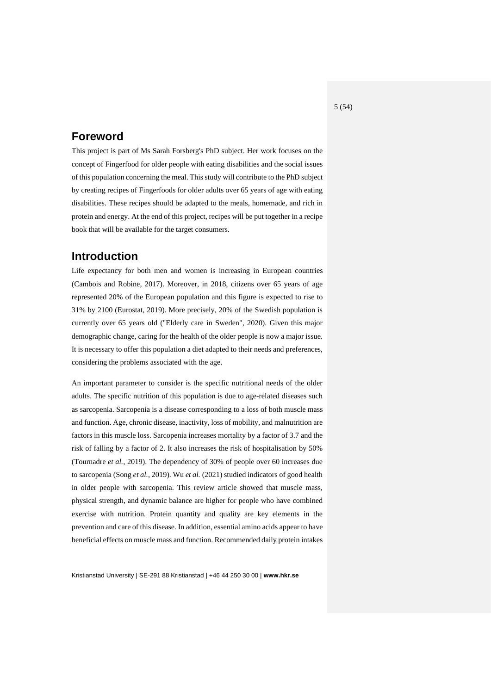# <span id="page-4-0"></span>**Foreword**

This project is part of Ms Sarah Forsberg's PhD subject. Her work focuses on the concept of Fingerfood for older people with eating disabilities and the social issues of this population concerning the meal. This study will contribute to the PhD subject by creating recipes of Fingerfoods for older adults over 65 years of age with eating disabilities. These recipes should be adapted to the meals, homemade, and rich in protein and energy. At the end of this project, recipes will be put together in a recipe book that will be available for the target consumers.

# <span id="page-4-1"></span>**Introduction**

Life expectancy for both men and women is increasing in European countries (Cambois and Robine, 2017). Moreover, in 2018, citizens over 65 years of age represented 20% of the European population and this figure is expected to rise to 31% by 2100 (Eurostat, 2019). More precisely, 20% of the Swedish population is currently over 65 years old ("Elderly care in Sweden", 2020). Given this major demographic change, caring for the health of the older people is now a major issue. It is necessary to offer this population a diet adapted to their needs and preferences, considering the problems associated with the age.

An important parameter to consider is the specific nutritional needs of the older adults. The specific nutrition of this population is due to age-related diseases such as sarcopenia. Sarcopenia is a disease corresponding to a loss of both muscle mass and function. Age, chronic disease, inactivity, loss of mobility, and malnutrition are factors in this muscle loss. Sarcopenia increases mortality by a factor of 3.7 and the risk of falling by a factor of 2. It also increases the risk of hospitalisation by 50% (Tournadre *et al.*, 2019). The dependency of 30% of people over 60 increases due to sarcopenia (Song *et al.*, 2019). Wu *et al.* (2021) studied indicators of good health in older people with sarcopenia. This review article showed that muscle mass, physical strength, and dynamic balance are higher for people who have combined exercise with nutrition. Protein quantity and quality are key elements in the prevention and care of this disease. In addition, essential amino acids appear to have beneficial effects on muscle mass and function. Recommended daily protein intakes

Kristianstad University | SE-291 88 Kristianstad | +46 44 250 30 00 | **www.hkr.se**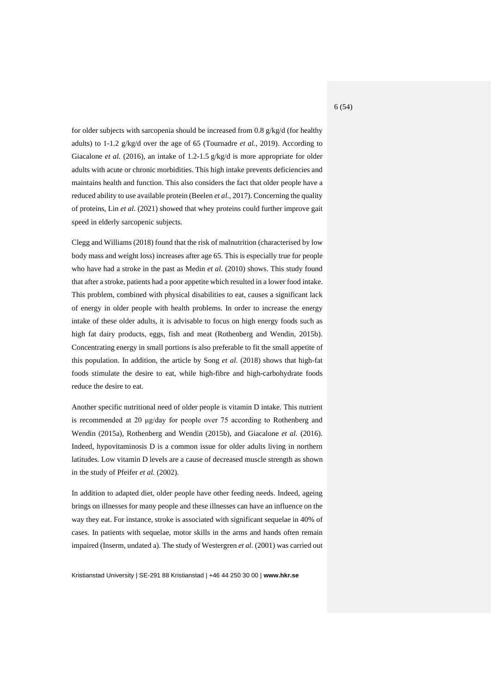for older subjects with sarcopenia should be increased from 0.8 g/kg/d (for healthy adults) to 1-1.2 g/kg/d over the age of 65 (Tournadre *et al.*, 2019). According to Giacalone *et al.* (2016), an intake of 1.2-1.5 g/kg/d is more appropriate for older adults with acute or chronic morbidities. This high intake prevents deficiencies and maintains health and function. This also considers the fact that older people have a reduced ability to use available protein (Beelen *et al.*, 2017). Concerning the quality of proteins, Lin *et al.* (2021) showed that whey proteins could further improve gait speed in elderly sarcopenic subjects.

Clegg and Williams (2018) found that the risk of malnutrition (characterised by low body mass and weight loss) increases after age 65. This is especially true for people who have had a stroke in the past as Medin *et al.* (2010) shows. This study found that after a stroke, patients had a poor appetite which resulted in a lower food intake. This problem, combined with physical disabilities to eat, causes a significant lack of energy in older people with health problems. In order to increase the energy intake of these older adults, it is advisable to focus on high energy foods such as high fat dairy products, eggs, fish and meat (Rothenberg and Wendin, 2015b). Concentrating energy in small portions is also preferable to fit the small appetite of this population. In addition, the article by Song *et al.* (2018) shows that high-fat foods stimulate the desire to eat, while high-fibre and high-carbohydrate foods reduce the desire to eat.

Another specific nutritional need of older people is vitamin D intake. This nutrient is recommended at 20 μg/day for people over 75 according to Rothenberg and Wendin (2015a), Rothenberg and Wendin (2015b), and Giacalone *et al.* (2016). Indeed, hypovitaminosis D is a common issue for older adults living in northern latitudes. Low vitamin D levels are a cause of decreased muscle strength as shown in the study of Pfeifer *et al.* (2002).

In addition to adapted diet, older people have other feeding needs. Indeed, ageing brings on illnesses for many people and these illnesses can have an influence on the way they eat. For instance, stroke is associated with significant sequelae in 40% of cases. In patients with sequelae, motor skills in the arms and hands often remain impaired (Inserm, undated a). The study of Westergren *et al.* (2001) was carried out

Kristianstad University | SE-291 88 Kristianstad | +46 44 250 30 00 | **www.hkr.se**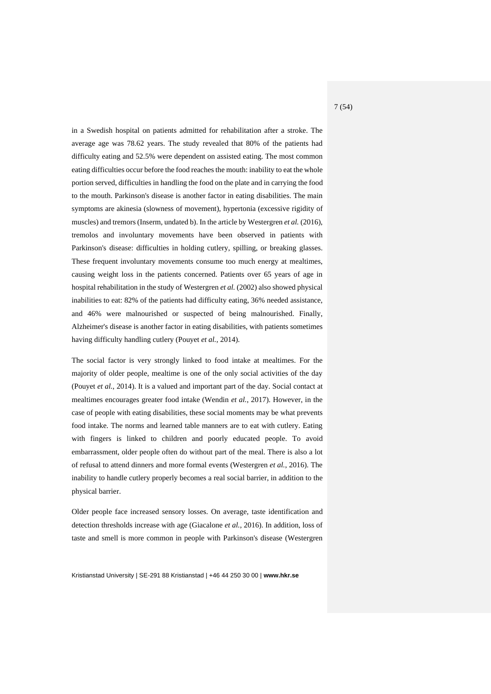in a Swedish hospital on patients admitted for rehabilitation after a stroke. The average age was 78.62 years. The study revealed that 80% of the patients had difficulty eating and 52.5% were dependent on assisted eating. The most common eating difficulties occur before the food reaches the mouth: inability to eat the whole portion served, difficulties in handling the food on the plate and in carrying the food to the mouth. Parkinson's disease is another factor in eating disabilities. The main symptoms are akinesia (slowness of movement), hypertonia (excessive rigidity of muscles) and tremors(Inserm, undated b). In the article by Westergren *et al.* (2016), tremolos and involuntary movements have been observed in patients with Parkinson's disease: difficulties in holding cutlery, spilling, or breaking glasses. These frequent involuntary movements consume too much energy at mealtimes, causing weight loss in the patients concerned. Patients over 65 years of age in hospital rehabilitation in the study of Westergren *et al.* (2002) also showed physical inabilities to eat: 82% of the patients had difficulty eating, 36% needed assistance, and 46% were malnourished or suspected of being malnourished. Finally, Alzheimer's disease is another factor in eating disabilities, with patients sometimes having difficulty handling cutlery (Pouyet *et al.*, 2014).

The social factor is very strongly linked to food intake at mealtimes. For the majority of older people, mealtime is one of the only social activities of the day (Pouyet *et al.*, 2014). It is a valued and important part of the day. Social contact at mealtimes encourages greater food intake (Wendin *et al.*, 2017). However, in the case of people with eating disabilities, these social moments may be what prevents food intake. The norms and learned table manners are to eat with cutlery. Eating with fingers is linked to children and poorly educated people. To avoid embarrassment, older people often do without part of the meal. There is also a lot of refusal to attend dinners and more formal events (Westergren *et al.*, 2016). The inability to handle cutlery properly becomes a real social barrier, in addition to the physical barrier.

Older people face increased sensory losses. On average, taste identification and detection thresholds increase with age (Giacalone *et al.*, 2016). In addition, loss of taste and smell is more common in people with Parkinson's disease (Westergren

Kristianstad University | SE-291 88 Kristianstad | +46 44 250 30 00 | **www.hkr.se**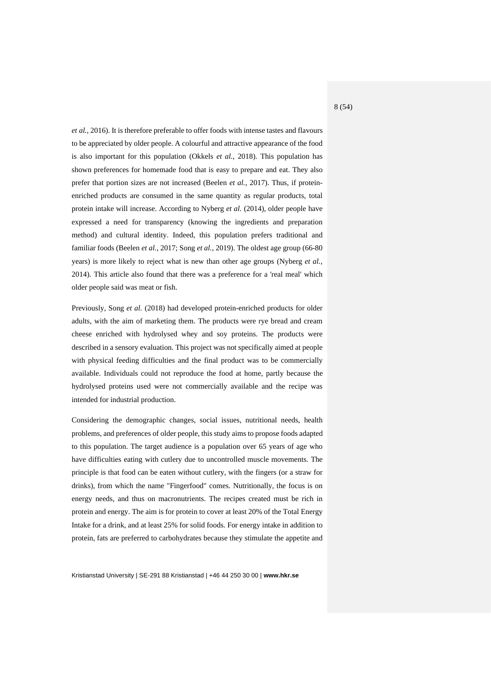*et al.*, 2016). It is therefore preferable to offer foods with intense tastes and flavours to be appreciated by older people. A colourful and attractive appearance of the food is also important for this population (Okkels *et al.*, 2018). This population has shown preferences for homemade food that is easy to prepare and eat. They also prefer that portion sizes are not increased (Beelen *et al.*, 2017). Thus, if proteinenriched products are consumed in the same quantity as regular products, total protein intake will increase. According to Nyberg *et al.* (2014), older people have expressed a need for transparency (knowing the ingredients and preparation method) and cultural identity. Indeed, this population prefers traditional and familiar foods (Beelen *et al.*, 2017; Song *et al.*, 2019). The oldest age group (66-80 years) is more likely to reject what is new than other age groups (Nyberg *et al.*, 2014). This article also found that there was a preference for a 'real meal' which older people said was meat or fish.

Previously, Song *et al.* (2018) had developed protein-enriched products for older adults, with the aim of marketing them. The products were rye bread and cream cheese enriched with hydrolysed whey and soy proteins. The products were described in a sensory evaluation. This project was not specifically aimed at people with physical feeding difficulties and the final product was to be commercially available. Individuals could not reproduce the food at home, partly because the hydrolysed proteins used were not commercially available and the recipe was intended for industrial production.

Considering the demographic changes, social issues, nutritional needs, health problems, and preferences of older people, this study aims to propose foods adapted to this population. The target audience is a population over 65 years of age who have difficulties eating with cutlery due to uncontrolled muscle movements. The principle is that food can be eaten without cutlery, with the fingers (or a straw for drinks), from which the name "Fingerfood" comes. Nutritionally, the focus is on energy needs, and thus on macronutrients. The recipes created must be rich in protein and energy. The aim is for protein to cover at least 20% of the Total Energy Intake for a drink, and at least 25% for solid foods. For energy intake in addition to protein, fats are preferred to carbohydrates because they stimulate the appetite and

Kristianstad University | SE-291 88 Kristianstad | +46 44 250 30 00 | **www.hkr.se**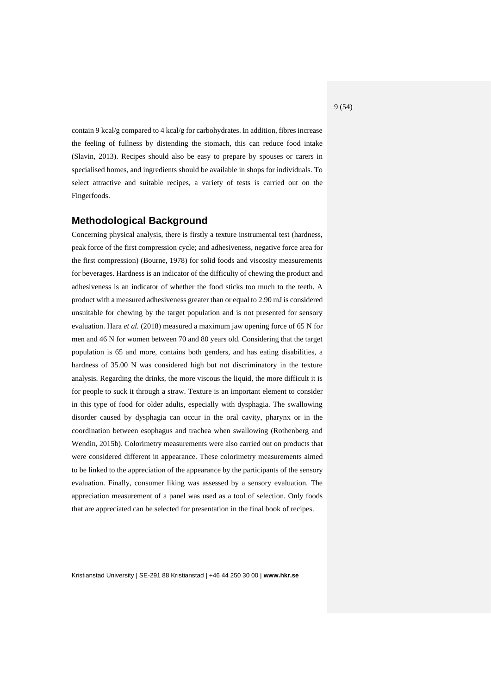contain 9 kcal/g compared to 4 kcal/g for carbohydrates. In addition, fibres increase the feeling of fullness by distending the stomach, this can reduce food intake (Slavin, 2013). Recipes should also be easy to prepare by spouses or carers in specialised homes, and ingredients should be available in shops for individuals. To select attractive and suitable recipes, a variety of tests is carried out on the Fingerfoods.

### <span id="page-8-0"></span>**Methodological Background**

Concerning physical analysis, there is firstly a texture instrumental test (hardness, peak force of the first compression cycle; and adhesiveness, negative force area for the first compression) (Bourne, 1978) for solid foods and viscosity measurements for beverages. Hardness is an indicator of the difficulty of chewing the product and adhesiveness is an indicator of whether the food sticks too much to the teeth. A product with a measured adhesiveness greater than or equal to 2.90 mJ is considered unsuitable for chewing by the target population and is not presented for sensory evaluation. Hara *et al.* (2018) measured a maximum jaw opening force of 65 N for men and 46 N for women between 70 and 80 years old. Considering that the target population is 65 and more, contains both genders, and has eating disabilities, a hardness of 35.00 N was considered high but not discriminatory in the texture analysis. Regarding the drinks, the more viscous the liquid, the more difficult it is for people to suck it through a straw. Texture is an important element to consider in this type of food for older adults, especially with dysphagia. The swallowing disorder caused by dysphagia can occur in the oral cavity, pharynx or in the coordination between esophagus and trachea when swallowing (Rothenberg and Wendin, 2015b). Colorimetry measurements were also carried out on products that were considered different in appearance. These colorimetry measurements aimed to be linked to the appreciation of the appearance by the participants of the sensory evaluation. Finally, consumer liking was assessed by a sensory evaluation. The appreciation measurement of a panel was used as a tool of selection. Only foods that are appreciated can be selected for presentation in the final book of recipes.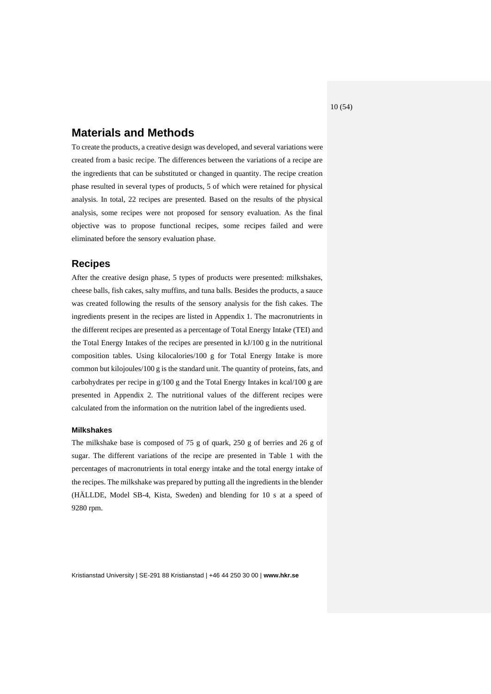10 (54)

# <span id="page-9-0"></span>**Materials and Methods**

To create the products, a creative design was developed, and several variations were created from a basic recipe. The differences between the variations of a recipe are the ingredients that can be substituted or changed in quantity. The recipe creation phase resulted in several types of products, 5 of which were retained for physical analysis. In total, 22 recipes are presented. Based on the results of the physical analysis, some recipes were not proposed for sensory evaluation. As the final objective was to propose functional recipes, some recipes failed and were eliminated before the sensory evaluation phase.

## <span id="page-9-1"></span>**Recipes**

After the creative design phase, 5 types of products were presented: milkshakes, cheese balls, fish cakes, salty muffins, and tuna balls. Besides the products, a sauce was created following the results of the sensory analysis for the fish cakes. The ingredients present in the recipes are listed in Appendix 1. The macronutrients in the different recipes are presented as a percentage of Total Energy Intake (TEI) and the Total Energy Intakes of the recipes are presented in kJ/100 g in the nutritional composition tables. Using kilocalories/100 g for Total Energy Intake is more common but kilojoules/100 g is the standard unit. The quantity of proteins, fats, and carbohydrates per recipe in g/100 g and the Total Energy Intakes in kcal/100 g are presented in Appendix 2. The nutritional values of the different recipes were calculated from the information on the nutrition label of the ingredients used.

#### <span id="page-9-2"></span>**Milkshakes**

The milkshake base is composed of 75 g of quark, 250 g of berries and 26 g of sugar. The different variations of the recipe are presented in Table 1 with the percentages of macronutrients in total energy intake and the total energy intake of the recipes. The milkshake was prepared by putting all the ingredients in the blender (HÄLLDE, Model SB-4, Kista, Sweden) and blending for 10 s at a speed of 9280 rpm.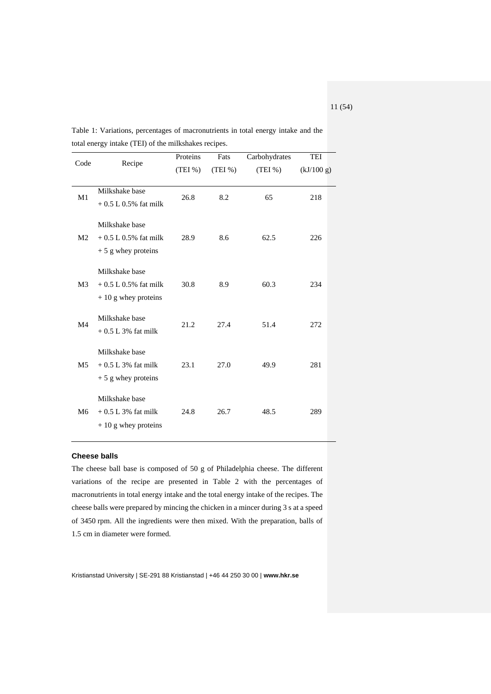|                |                                                                    | Proteins | Fats   | Carbohydrates | TEI        |
|----------------|--------------------------------------------------------------------|----------|--------|---------------|------------|
| Code           | Recipe                                                             | (TEI%)   | (TEI%) | (TEI%)        | (kJ/100 g) |
| M1             | Milkshake base<br>$+0.5 L 0.5%$ fat milk                           | 26.8     | 8.2    | 65            | 218        |
| M <sub>2</sub> | Milkshake base<br>$+0.5 L 0.5\%$ fat milk<br>$+5$ g whey proteins  | 28.9     | 8.6    | 62.5          | 226        |
| M3             | Milkshake base<br>$+0.5 L 0.5\%$ fat milk<br>$+10$ g whey proteins | 30.8     | 8.9    | 60.3          | 234        |
| M <sub>4</sub> | Milkshake base<br>$+0.5$ L 3% fat milk                             | 21.2     | 27.4   | 51.4          | 272        |
| M5             | Milkshake base<br>$+0.5$ L 3% fat milk<br>$+5$ g whey proteins     | 23.1     | 27.0   | 49.9          | 281        |
| M6             | Milkshake base<br>$+0.5$ L 3% fat milk<br>$+10$ g whey proteins    | 24.8     | 26.7   | 48.5          | 289        |

Table 1: Variations, percentages of macronutrients in total energy intake and the total energy intake (TEI) of the milkshakes recipes.

#### <span id="page-10-0"></span>**Cheese balls**

The cheese ball base is composed of 50 g of Philadelphia cheese. The different variations of the recipe are presented in Table 2 with the percentages of macronutrients in total energy intake and the total energy intake of the recipes. The cheese balls were prepared by mincing the chicken in a mincer during 3 s at a speed of 3450 rpm. All the ingredients were then mixed. With the preparation, balls of 1.5 cm in diameter were formed.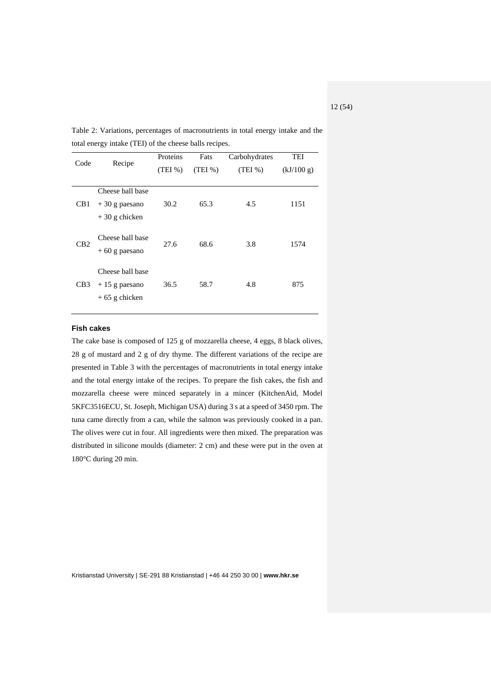| Code            | Recipe                                                 | Proteins<br>(TEI%) | Fats<br>(TEI%) | Carbohydrates<br>(TEI%) | <b>TEI</b><br>(kJ/100 g) |
|-----------------|--------------------------------------------------------|--------------------|----------------|-------------------------|--------------------------|
| CB <sub>1</sub> | Cheese ball base<br>$+30$ g paesano<br>$+30$ g chicken | 30.2               | 65.3           | 4.5                     | 1151                     |
| CB2             | Cheese ball base<br>$+60$ g paesano                    | 27.6               | 68.6           | 3.8                     | 1574                     |
| CB3             | Cheese ball base<br>$+15$ g paesano<br>$+65$ g chicken | 36.5               | 58.7           | 4.8                     | 875                      |

Table 2: Variations, percentages of macronutrients in total energy intake and the total energy intake (TEI) of the cheese balls recipes.

#### <span id="page-11-0"></span>**Fish cakes**

The cake base is composed of 125 g of mozzarella cheese, 4 eggs, 8 black olives, 28 g of mustard and 2 g of dry thyme. The different variations of the recipe are presented in Table 3 with the percentages of macronutrients in total energy intake and the total energy intake of the recipes. To prepare the fish cakes, the fish and mozzarella cheese were minced separately in a mincer (KitchenAid, Model 5KFC3516ECU, St. Joseph, Michigan USA) during 3 s at a speed of 3450 rpm. The tuna came directly from a can, while the salmon was previously cooked in a pan. The olives were cut in four. All ingredients were then mixed. The preparation was distributed in silicone moulds (diameter: 2 cm) and these were put in the oven at 180°C during 20 min.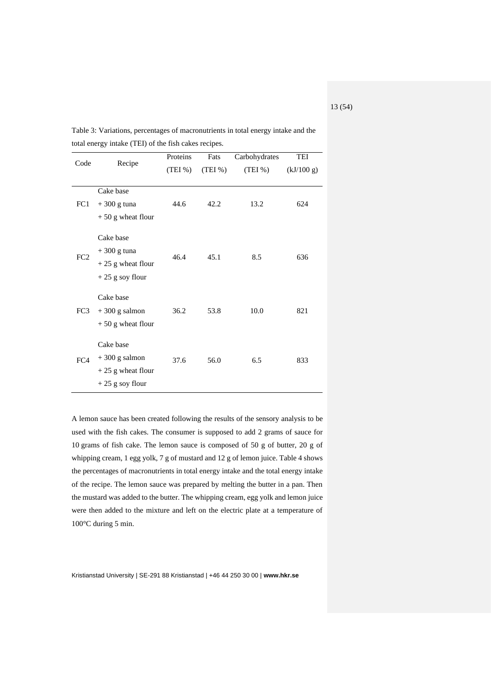|      |                                                                                               | Proteins | Fats   | Carbohydrates | TEI        |
|------|-----------------------------------------------------------------------------------------------|----------|--------|---------------|------------|
| Code | Recipe                                                                                        | (TEI%)   | (TEI%) | (TEI%)        | (kJ/100 g) |
| FC1  | Cake base<br>$+300$ g tuna                                                                    | 44.6     | 42.2   | 13.2          | 624        |
| FC2  | $+50$ g wheat flour<br>Cake base<br>$+300$ g tuna<br>$+25$ g wheat flour<br>$+25$ g soy flour | 46.4     | 45.1   | 8.5           | 636        |
| FC3  | Cake base<br>$+300$ g salmon<br>$+50$ g wheat flour                                           | 36.2     | 53.8   | 10.0          | 821        |
| FC4  | Cake base<br>$+300$ g salmon<br>$+25$ g wheat flour<br>$+25$ g soy flour                      | 37.6     | 56.0   | 6.5           | 833        |

Table 3: Variations, percentages of macronutrients in total energy intake and the total energy intake (TEI) of the fish cakes recipes.

A lemon sauce has been created following the results of the sensory analysis to be used with the fish cakes. The consumer is supposed to add 2 grams of sauce for 10 grams of fish cake. The lemon sauce is composed of 50 g of butter, 20 g of whipping cream, 1 egg yolk, 7 g of mustard and 12 g of lemon juice. Table 4 shows the percentages of macronutrients in total energy intake and the total energy intake of the recipe. The lemon sauce was prepared by melting the butter in a pan. Then the mustard was added to the butter. The whipping cream, egg yolk and lemon juice were then added to the mixture and left on the electric plate at a temperature of 100°C during 5 min.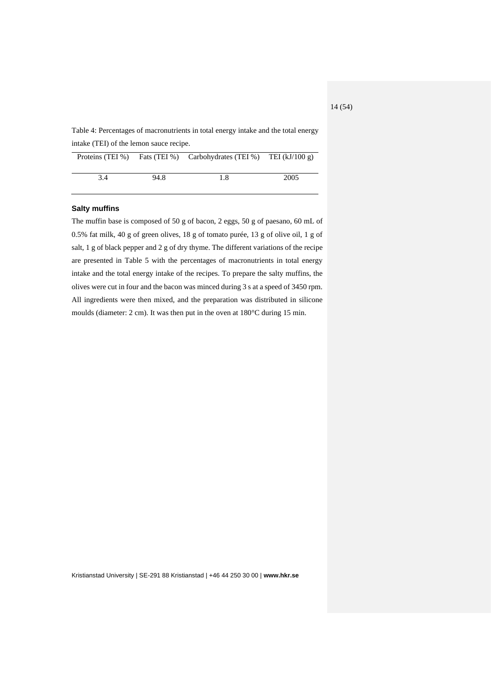Table 4: Percentages of macronutrients in total energy intake and the total energy intake (TEI) of the lemon sauce recipe.

|     |      | Proteins (TEI %) Fats (TEI %) Carbohydrates (TEI %) TEI ( $kJ/100 g$ ) |      |
|-----|------|------------------------------------------------------------------------|------|
| 3.4 | 94.8 | 1.8                                                                    | 2005 |

#### <span id="page-13-0"></span>**Salty muffins**

The muffin base is composed of 50 g of bacon, 2 eggs, 50 g of paesano, 60 mL of 0.5% fat milk, 40 g of green olives, 18 g of tomato purée, 13 g of olive oil, 1 g of salt, 1 g of black pepper and 2 g of dry thyme. The different variations of the recipe are presented in Table 5 with the percentages of macronutrients in total energy intake and the total energy intake of the recipes. To prepare the salty muffins, the olives were cut in four and the bacon was minced during 3 s at a speed of 3450 rpm. All ingredients were then mixed, and the preparation was distributed in silicone moulds (diameter: 2 cm). It was then put in the oven at 180°C during 15 min.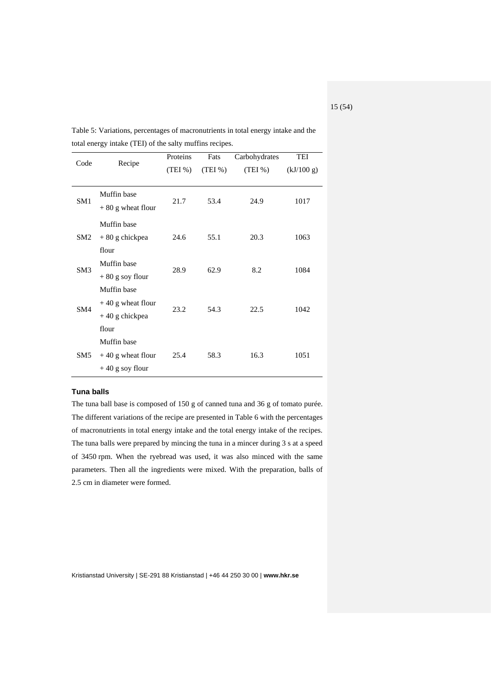| Code            | Recipe              | Proteins | Fats   | Carbohydrates | TEI        |
|-----------------|---------------------|----------|--------|---------------|------------|
|                 |                     | (TEI%)   | (TEI%) | (TEI%)        | (kJ/100 g) |
|                 |                     |          |        |               |            |
| SM <sub>1</sub> | Muffin base         | 21.7     | 53.4   | 24.9          | 1017       |
|                 | $+80$ g wheat flour |          |        |               |            |
|                 | Muffin base         |          |        |               |            |
| SM <sub>2</sub> | $+80$ g chickpea    | 24.6     | 55.1   | 20.3          | 1063       |
|                 | flour               |          |        |               |            |
| SM3             | Muffin base         | 28.9     | 62.9   | 8.2           | 1084       |
|                 | $+80$ g soy flour   |          |        |               |            |
|                 | Muffin base         |          |        |               |            |
| SM4             | $+40$ g wheat flour | 23.2     | 54.3   | 22.5          | 1042       |
|                 | $+40$ g chickpea    |          |        |               |            |
|                 | flour               |          |        |               |            |
|                 | Muffin base         |          |        |               |            |
| SM <sub>5</sub> | $+40$ g wheat flour | 25.4     | 58.3   | 16.3          | 1051       |
|                 | $+40$ g soy flour   |          |        |               |            |

Table 5: Variations, percentages of macronutrients in total energy intake and the total energy intake (TEI) of the salty muffins recipes.

#### <span id="page-14-0"></span>**Tuna balls**

The tuna ball base is composed of 150 g of canned tuna and 36 g of tomato purée. The different variations of the recipe are presented in Table 6 with the percentages of macronutrients in total energy intake and the total energy intake of the recipes. The tuna balls were prepared by mincing the tuna in a mincer during 3 s at a speed of 3450 rpm. When the ryebread was used, it was also minced with the same parameters. Then all the ingredients were mixed. With the preparation, balls of 2.5 cm in diameter were formed.

Kristianstad University | SE-291 88 Kristianstad | +46 44 250 30 00 | **www.hkr.se**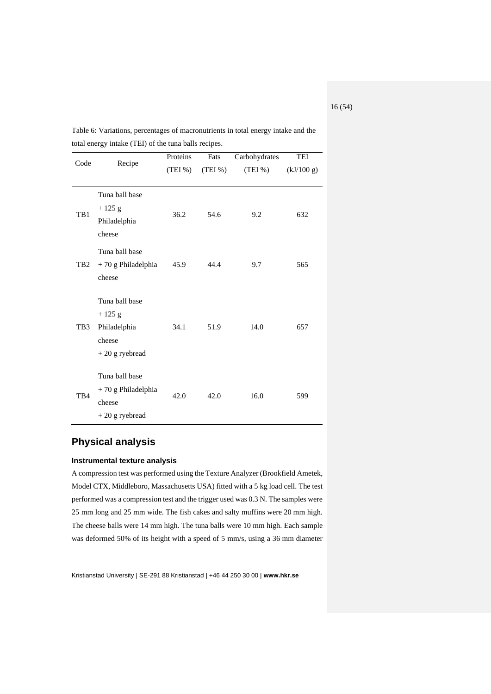| Code            | Recipe                                                                   | Proteins<br>(TEI%) | Fats<br>(TEI%) | Carbohydrates<br>(TEI %) | TEI<br>(kJ/100 g) |
|-----------------|--------------------------------------------------------------------------|--------------------|----------------|--------------------------|-------------------|
| TB1             | Tuna ball base<br>$+125$ g<br>Philadelphia<br>cheese                     | 36.2               | 54.6           | 9.2                      | 632               |
| TB <sub>2</sub> | Tuna ball base<br>+70 g Philadelphia<br>cheese                           | 45.9               | 44.4           | 9.7                      | 565               |
| TB3             | Tuna ball base<br>$+125$ g<br>Philadelphia<br>cheese<br>$+20$ g ryebread | 34.1               | 51.9           | 14.0                     | 657               |
| TB4             | Tuna ball base<br>+70 g Philadelphia<br>cheese<br>$+20$ g ryebread       | 42.0               | 42.0           | 16.0                     | 599               |

Table 6: Variations, percentages of macronutrients in total energy intake and the total energy intake (TEI) of the tuna balls recipes.

# <span id="page-15-0"></span>**Physical analysis**

#### <span id="page-15-1"></span>**Instrumental texture analysis**

A compression test was performed using the Texture Analyzer (Brookfield Ametek, Model CTX, Middleboro, Massachusetts USA) fitted with a 5 kg load cell. The test performed was a compression test and the trigger used was 0.3 N. The samples were 25 mm long and 25 mm wide. The fish cakes and salty muffins were 20 mm high. The cheese balls were 14 mm high. The tuna balls were 10 mm high. Each sample was deformed 50% of its height with a speed of 5 mm/s, using a 36 mm diameter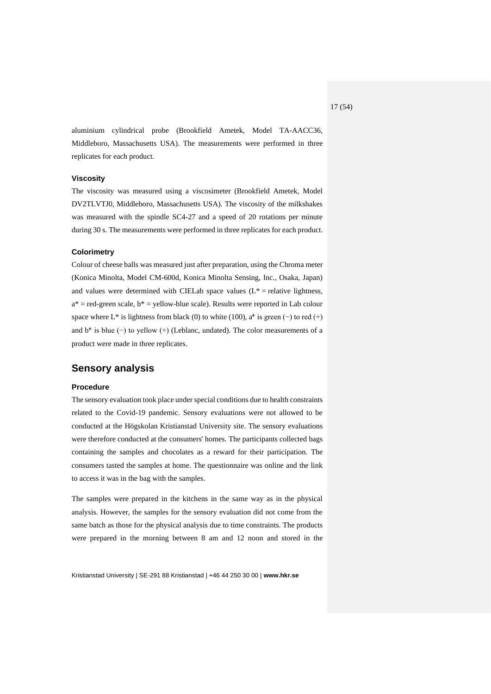aluminium cylindrical probe (Brookfield Ametek, Model TA-AACC36, Middleboro, Massachusetts USA). The measurements were performed in three replicates for each product.

#### <span id="page-16-0"></span>**Viscosity**

The viscosity was measured using a viscosimeter (Brookfield Ametek, Model DV2TLVTJ0, Middleboro, Massachusetts USA). The viscosity of the milkshakes was measured with the spindle SC4-27 and a speed of 20 rotations per minute during 30 s. The measurements were performed in three replicates for each product.

#### <span id="page-16-1"></span>**Colorimetry**

Colour of cheese balls was measured just after preparation, using the Chroma meter (Konica Minolta, Model CM-600d, Konica Minolta Sensing, Inc., Osaka, Japan) and values were determined with CIELab space values  $(L^* =$  relative lightness,  $a^*$  = red-green scale,  $b^*$  = yellow-blue scale). Results were reported in Lab colour space where L\* is lightness from black (0) to white (100),  $a^*$  is green (−) to red (+) and  $b^*$  is blue (−) to yellow (+) (Leblanc, undated). The color measurements of a product were made in three replicates.

### <span id="page-16-2"></span>**Sensory analysis**

#### <span id="page-16-3"></span>**Procedure**

The sensory evaluation took place under special conditions due to health constraints related to the Covid-19 pandemic. Sensory evaluations were not allowed to be conducted at the Högskolan Kristianstad University site. The sensory evaluations were therefore conducted at the consumers' homes. The participants collected bags containing the samples and chocolates as a reward for their participation. The consumers tasted the samples at home. The questionnaire was online and the link to access it was in the bag with the samples.

The samples were prepared in the kitchens in the same way as in the physical analysis. However, the samples for the sensory evaluation did not come from the same batch as those for the physical analysis due to time constraints. The products were prepared in the morning between 8 am and 12 noon and stored in the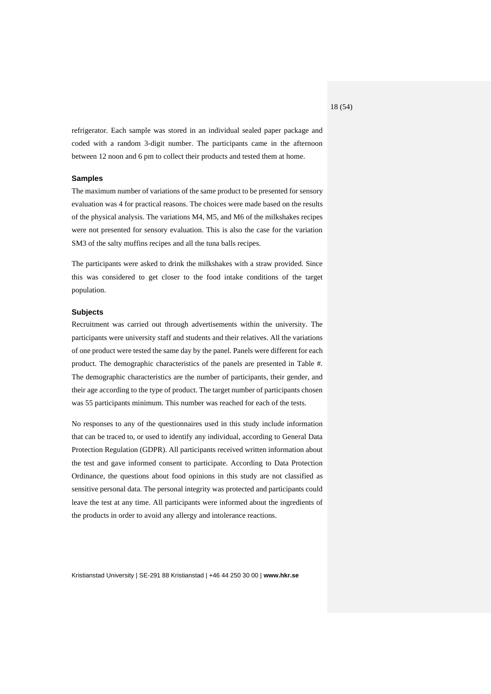refrigerator. Each sample was stored in an individual sealed paper package and coded with a random 3-digit number. The participants came in the afternoon between 12 noon and 6 pm to collect their products and tested them at home.

#### <span id="page-17-0"></span>**Samples**

The maximum number of variations of the same product to be presented for sensory evaluation was 4 for practical reasons. The choices were made based on the results of the physical analysis. The variations M4, M5, and M6 of the milkshakes recipes were not presented for sensory evaluation. This is also the case for the variation SM3 of the salty muffins recipes and all the tuna balls recipes.

The participants were asked to drink the milkshakes with a straw provided. Since this was considered to get closer to the food intake conditions of the target population.

#### <span id="page-17-1"></span>**Subjects**

Recruitment was carried out through advertisements within the university. The participants were university staff and students and their relatives. All the variations of one product were tested the same day by the panel. Panels were different for each product. The demographic characteristics of the panels are presented in Table #. The demographic characteristics are the number of participants, their gender, and their age according to the type of product. The target number of participants chosen was 55 participants minimum. This number was reached for each of the tests.

No responses to any of the questionnaires used in this study include information that can be traced to, or used to identify any individual, according to General Data Protection Regulation (GDPR). All participants received written information about the test and gave informed consent to participate. According to Data Protection Ordinance, the questions about food opinions in this study are not classified as sensitive personal data. The personal integrity was protected and participants could leave the test at any time. All participants were informed about the ingredients of the products in order to avoid any allergy and intolerance reactions.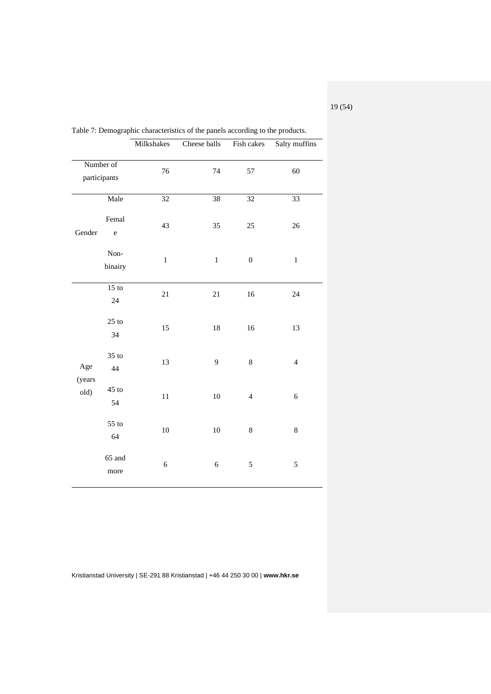|                        |                      | Milkshakes | Cheese balls | Fish cakes       | Salty muffins  |
|------------------------|----------------------|------------|--------------|------------------|----------------|
| participants           | Number of            | 76         | 74           | 57               | 60             |
|                        | Male                 | 32         | 38           | 32               | 33             |
| Gender                 | Femal<br>$\mathbf e$ | 43         | 35           | 25               | 26             |
|                        | Non-<br>binairy      | $\,1$      | $\,1$        | $\boldsymbol{0}$ | $\,1$          |
|                        | $15$ to<br>24        | 21         | 21           | 16               | 24             |
|                        | $25$ to<br>34        | 15         | $18\,$       | 16               | 13             |
| Age<br>(years)<br>old) | $35$ to<br>44        | 13         | 9            | 8                | $\overline{4}$ |
|                        | $45$ to<br>54        | 11         | $10\,$       | $\overline{4}$   | 6              |
|                        | $55$ to<br>64        | $10\,$     | $10\,$       | 8                | 8              |
|                        | 65 and<br>more       | $\sqrt{6}$ | $\sqrt{6}$   | 5                | 5              |

Table 7: Demographic characteristics of the panels according to the products.

Kristianstad University | SE-291 88 Kristianstad | +46 44 250 30 00 | **www.hkr.se**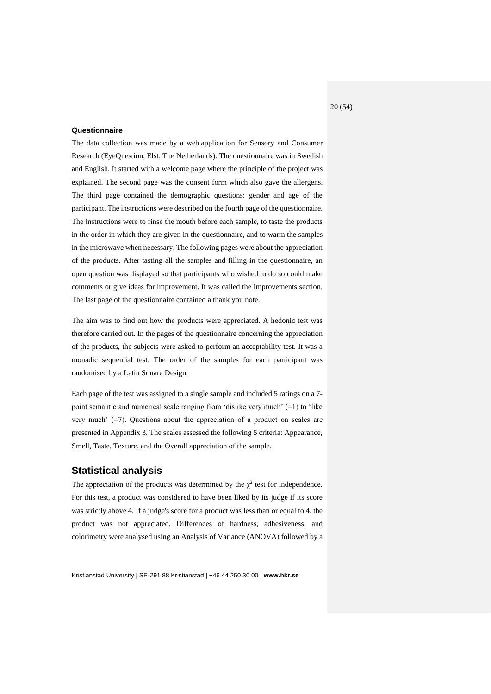#### <span id="page-19-0"></span>**Questionnaire**

The data collection was made by a web application for Sensory and Consumer Research (EyeQuestion, Elst, The Netherlands). The questionnaire was in Swedish and English. It started with a welcome page where the principle of the project was explained. The second page was the consent form which also gave the allergens. The third page contained the demographic questions: gender and age of the participant. The instructions were described on the fourth page of the questionnaire. The instructions were to rinse the mouth before each sample, to taste the products in the order in which they are given in the questionnaire, and to warm the samples in the microwave when necessary. The following pages were about the appreciation of the products. After tasting all the samples and filling in the questionnaire, an open question was displayed so that participants who wished to do so could make comments or give ideas for improvement. It was called the Improvements section. The last page of the questionnaire contained a thank you note.

The aim was to find out how the products were appreciated. A hedonic test was therefore carried out. In the pages of the questionnaire concerning the appreciation of the products, the subjects were asked to perform an acceptability test. It was a monadic sequential test. The order of the samples for each participant was randomised by a Latin Square Design.

Each page of the test was assigned to a single sample and included 5 ratings on a 7 point semantic and numerical scale ranging from 'dislike very much' (=1) to 'like very much' (=7). Questions about the appreciation of a product on scales are presented in Appendix 3. The scales assessed the following 5 criteria: Appearance, Smell, Taste, Texture, and the Overall appreciation of the sample.

## <span id="page-19-1"></span>**Statistical analysis**

The appreciation of the products was determined by the  $\chi^2$  test for independence. For this test, a product was considered to have been liked by its judge if its score was strictly above 4. If a judge's score for a product was less than or equal to 4, the product was not appreciated. Differences of hardness, adhesiveness, and colorimetry were analysed using an Analysis of Variance (ANOVA) followed by a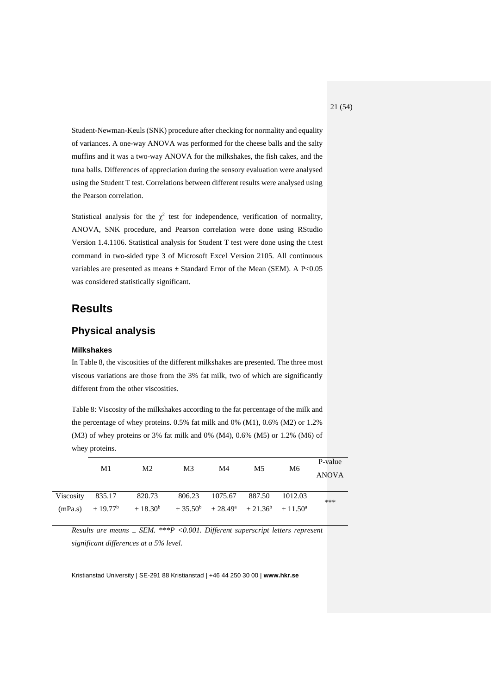Student-Newman-Keuls (SNK) procedure after checking for normality and equality of variances. A one-way ANOVA was performed for the cheese balls and the salty muffins and it was a two-way ANOVA for the milkshakes, the fish cakes, and the tuna balls. Differences of appreciation during the sensory evaluation were analysed using the Student T test. Correlations between different results were analysed using the Pearson correlation.

Statistical analysis for the  $\chi^2$  test for independence, verification of normality, ANOVA, SNK procedure, and Pearson correlation were done using RStudio Version 1.4.1106. Statistical analysis for Student T test were done using the t.test command in two-sided type 3 of Microsoft Excel Version 2105. All continuous variables are presented as means  $\pm$  Standard Error of the Mean (SEM). A P<0.05 was considered statistically significant.

# <span id="page-20-0"></span>**Results**

# <span id="page-20-1"></span>**Physical analysis**

#### <span id="page-20-2"></span>**Milkshakes**

In Table 8, the viscosities of the different milkshakes are presented. The three most viscous variations are those from the 3% fat milk, two of which are significantly different from the other viscosities.

Table 8: Viscosity of the milkshakes according to the fat percentage of the milk and the percentage of whey proteins. 0.5% fat milk and 0% (M1), 0.6% (M2) or 1.2%  $(M3)$  of whey proteins or 3% fat milk and 0%  $(M4)$ , 0.6%  $(M5)$  or 1.2%  $(M6)$  of whey proteins.

|                  | M1 | M <sub>2</sub>                                                                                | M <sub>3</sub> | M4                    | M5 | M6      | P-value<br><b>ANOVA</b> |
|------------------|----|-----------------------------------------------------------------------------------------------|----------------|-----------------------|----|---------|-------------------------|
| Viscosity 835.17 |    | 820.73                                                                                        |                | 806.23 1075.67 887.50 |    | 1012.03 | ***                     |
|                  |    | $(mPa.s)$ $\pm 19.77^b$ $\pm 18.30^b$ $\pm 35.50^b$ $\pm 28.49^a$ $\pm 21.36^b$ $\pm 11.50^a$ |                |                       |    |         |                         |

*Results are means ± SEM. \*\*\*P <0.001. Different superscript letters represent significant differences at a 5% level.*

Kristianstad University | SE-291 88 Kristianstad | +46 44 250 30 00 | **www.hkr.se**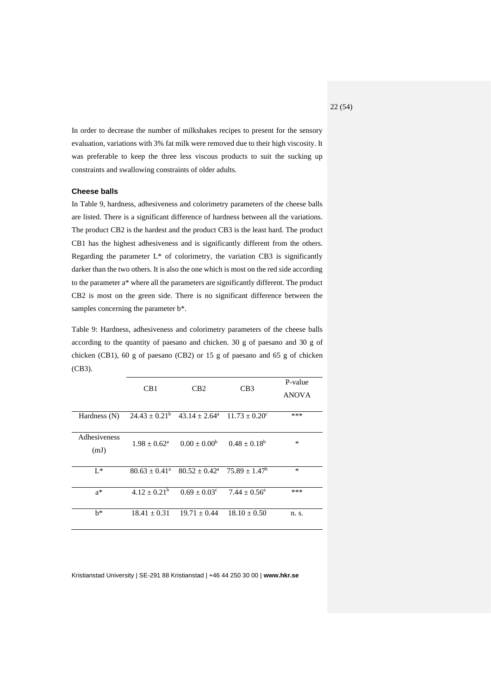In order to decrease the number of milkshakes recipes to present for the sensory evaluation, variations with 3% fat milk were removed due to their high viscosity. It was preferable to keep the three less viscous products to suit the sucking up constraints and swallowing constraints of older adults.

#### <span id="page-21-0"></span>**Cheese balls**

In Table 9, hardness, adhesiveness and colorimetry parameters of the cheese balls are listed. There is a significant difference of hardness between all the variations. The product CB2 is the hardest and the product CB3 is the least hard. The product CB1 has the highest adhesiveness and is significantly different from the others. Regarding the parameter  $L^*$  of colorimetry, the variation CB3 is significantly darker than the two others. It is also the one which is most on the red side according to the parameter a\* where all the parameters are significantly different. The product CB2 is most on the green side. There is no significant difference between the samples concerning the parameter b\*.

Table 9: Hardness, adhesiveness and colorimetry parameters of the cheese balls according to the quantity of paesano and chicken. 30 g of paesano and 30 g of chicken (CB1), 60 g of paesano (CB2) or 15 g of paesano and 65 g of chicken (CB3).

|                      | CB1                     | CB2                                                      | CB3                     | P-value<br><b>ANOVA</b> |
|----------------------|-------------------------|----------------------------------------------------------|-------------------------|-------------------------|
| Hardness (N)         |                         | $24.43 \pm 0.21^b$ $43.14 \pm 2.64^a$ $11.73 \pm 0.20^c$ |                         | ***                     |
| Adhesiveness<br>(mJ) | $1.98 + 0.62^a$         | $0.00 + 0.00^b$                                          | $0.48 \pm 0.18^{\rm b}$ | $\ast$                  |
| $L^*$                | $80.63 + 0.41^{\circ}$  | $80.52 + 0.42^a$ 75.89 + 1.47 <sup>b</sup>               |                         | $\ast$                  |
| $a^*$                | $4.12 \pm 0.21^{\rm b}$ | $0.69 + 0.03^c$                                          | $7.44 + 0.56^a$         | ***                     |
| $h^*$                | $18.41 + 0.31$          | $19.71 + 0.44$                                           | $18.10 \pm 0.50$        | n. s.                   |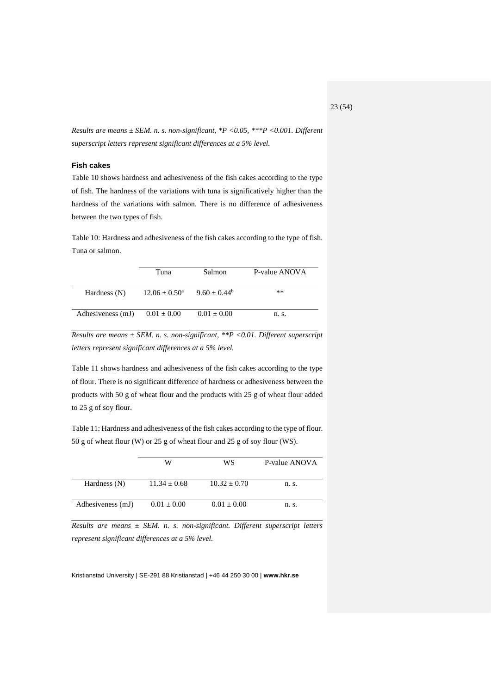*Results are means ± SEM. n. s. non-significant, \*P <0.05, \*\*\*P <0.001. Different superscript letters represent significant differences at a 5% level.*

#### <span id="page-22-0"></span>**Fish cakes**

Table 10 shows hardness and adhesiveness of the fish cakes according to the type of fish. The hardness of the variations with tuna is significatively higher than the hardness of the variations with salmon. There is no difference of adhesiveness between the two types of fish.

Table 10: Hardness and adhesiveness of the fish cakes according to the type of fish. Tuna or salmon.

|                   | Tuna                     | Salmon            | P-value ANOVA |
|-------------------|--------------------------|-------------------|---------------|
| Hardness $(N)$    | $12.06 \pm 0.50^{\circ}$ | $9.60 \pm 0.44^b$ | **            |
| Adhesiveness (mJ) | $0.01 \pm 0.00$          | $0.01 \pm 0.00$   | n. s.         |

*Results are means ± SEM. n. s. non-significant, \*\*P <0.01. Different superscript letters represent significant differences at a 5% level.*

Table 11 shows hardness and adhesiveness of the fish cakes according to the type of flour. There is no significant difference of hardness or adhesiveness between the products with 50 g of wheat flour and the products with 25 g of wheat flour added to 25 g of soy flour.

Table 11: Hardness and adhesiveness of the fish cakes according to the type of flour. 50 g of wheat flour (W) or 25 g of wheat flour and 25 g of soy flour (WS).

|                   | W                | WS               | P-value ANOVA |
|-------------------|------------------|------------------|---------------|
| Hardness (N)      | $11.34 \pm 0.68$ | $10.32 \pm 0.70$ | n. s.         |
| Adhesiveness (mJ) | $0.01 \pm 0.00$  | $0.01 \pm 0.00$  | n. s.         |

*Results are means ± SEM. n. s. non-significant. Different superscript letters represent significant differences at a 5% level.*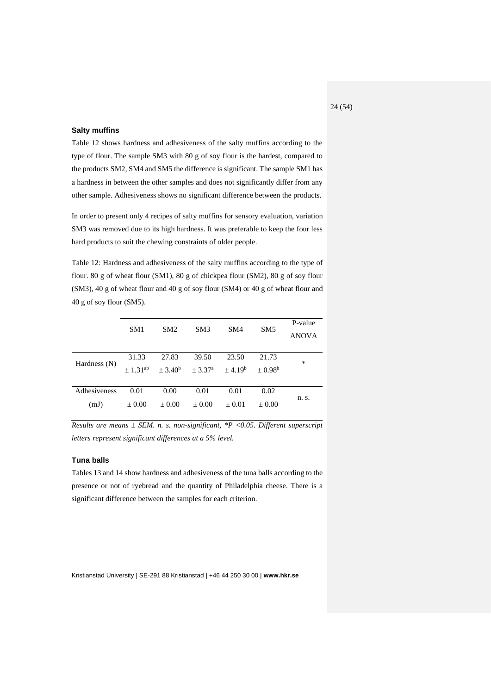#### <span id="page-23-0"></span>**Salty muffins**

Table 12 shows hardness and adhesiveness of the salty muffins according to the type of flour. The sample SM3 with 80 g of soy flour is the hardest, compared to the products SM2, SM4 and SM5 the difference is significant. The sample SM1 has a hardness in between the other samples and does not significantly differ from any other sample. Adhesiveness shows no significant difference between the products.

In order to present only 4 recipes of salty muffins for sensory evaluation, variation SM3 was removed due to its high hardness. It was preferable to keep the four less hard products to suit the chewing constraints of older people.

Table 12: Hardness and adhesiveness of the salty muffins according to the type of flour. 80 g of wheat flour (SM1), 80 g of chickpea flour (SM2), 80 g of soy flour (SM3), 40 g of wheat flour and 40 g of soy flour (SM4) or 40 g of wheat flour and 40 g of soy flour (SM5).

|                | SM1          | SM2                | SM3                                   | SM4        | SM <sub>5</sub> | P-value      |
|----------------|--------------|--------------------|---------------------------------------|------------|-----------------|--------------|
|                |              |                    |                                       |            |                 | <b>ANOVA</b> |
|                |              |                    |                                       |            |                 |              |
|                | 31.33        | 27.83              | 39.50                                 | 23.50      | 21.73           | *            |
| Hardness $(N)$ | $+1.31^{ab}$ | $\pm 3.40^{\rm b}$ | $\pm 3.37^{\rm a}$ $\pm 4.19^{\rm b}$ |            | $+0.98^{\rm b}$ |              |
|                |              |                    |                                       |            |                 |              |
| Adhesiveness   | 0.01         | 0.00               | 0.01                                  | 0.01       | 0.02            |              |
| (mJ)           | $\pm 0.00$   | $\pm 0.00$         | $\pm 0.00$                            | $\pm 0.01$ | $\pm 0.00$      | n. s.        |

*Results are means ± SEM. n. s. non-significant, \*P <0.05. Different superscript letters represent significant differences at a 5% level.*

#### <span id="page-23-1"></span>**Tuna balls**

Tables 13 and 14 show hardness and adhesiveness of the tuna balls according to the presence or not of ryebread and the quantity of Philadelphia cheese. There is a significant difference between the samples for each criterion.

Kristianstad University | SE-291 88 Kristianstad | +46 44 250 30 00 | **www.hkr.se**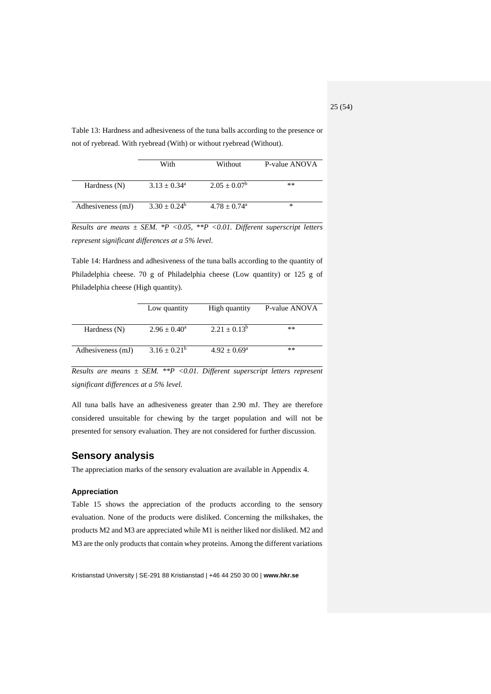Table 13: Hardness and adhesiveness of the tuna balls according to the presence or not of ryebread. With ryebread (With) or without ryebread (Without).

|                   | With              | Without                    | P-value ANOVA |
|-------------------|-------------------|----------------------------|---------------|
| Hardness $(N)$    | $3.13 \pm 0.34^a$ | $2.05 + 0.07^b$            | $***$         |
| Adhesiveness (mJ) | $3.30 \pm 0.24^b$ | $4.78 + 0.74$ <sup>a</sup> | *             |

*Results are means ± SEM. \*P <0.05, \*\*P <0.01. Different superscript letters represent significant differences at a 5% level.*

Table 14: Hardness and adhesiveness of the tuna balls according to the quantity of Philadelphia cheese. 70 g of Philadelphia cheese (Low quantity) or 125 g of Philadelphia cheese (High quantity).

|                   | Low quantity            | High quantity           | P-value ANOVA |
|-------------------|-------------------------|-------------------------|---------------|
| Hardness (N)      | $2.96 \pm 0.40^{\circ}$ | $2.21 \pm 0.13^b$       | $***$         |
| Adhesiveness (mJ) | $3.16 \pm 0.21^b$       | $4.92 \pm 0.69^{\rm a}$ | $***$         |

*Results are means ± SEM. \*\*P <0.01. Different superscript letters represent significant differences at a 5% level.*

All tuna balls have an adhesiveness greater than 2.90 mJ. They are therefore considered unsuitable for chewing by the target population and will not be presented for sensory evaluation. They are not considered for further discussion.

### <span id="page-24-0"></span>**Sensory analysis**

The appreciation marks of the sensory evaluation are available in Appendix 4.

#### <span id="page-24-1"></span>**Appreciation**

Table 15 shows the appreciation of the products according to the sensory evaluation. None of the products were disliked. Concerning the milkshakes, the products M2 and M3 are appreciated while M1 is neither liked nor disliked. M2 and M3 are the only products that contain whey proteins. Among the different variations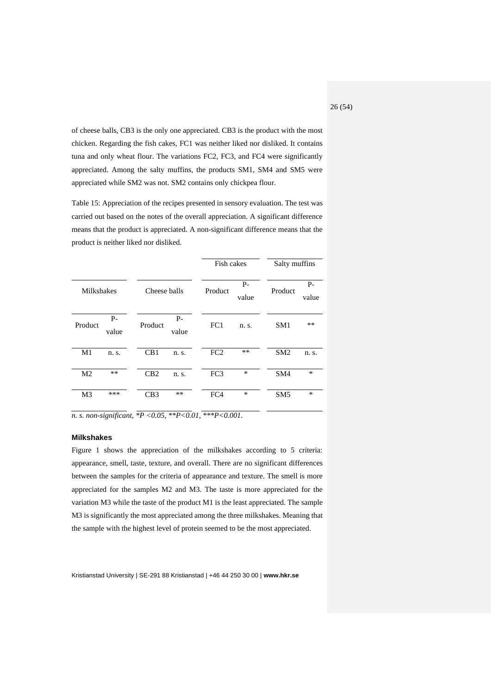of cheese balls, CB3 is the only one appreciated. CB3 is the product with the most chicken. Regarding the fish cakes, FC1 was neither liked nor disliked. It contains tuna and only wheat flour. The variations FC2, FC3, and FC4 were significantly appreciated. Among the salty muffins, the products SM1, SM4 and SM5 were appreciated while SM2 was not. SM2 contains only chickpea flour.

Table 15: Appreciation of the recipes presented in sensory evaluation. The test was carried out based on the notes of the overall appreciation. A significant difference means that the product is appreciated. A non-significant difference means that the product is neither liked nor disliked.

|                |               |              |               |                 | Fish cakes    |                 | Salty muffins |
|----------------|---------------|--------------|---------------|-----------------|---------------|-----------------|---------------|
| Milkshakes     |               | Cheese balls |               | Product         | $P-$<br>value | Product         | $P-$<br>value |
| Product        | $P-$<br>value | Product      | $P-$<br>value | FC1             | n. s.         | SM <sub>1</sub> | $***$         |
| M1             | n. s.         | CB1          | n. s.         | FC2             | **            | SM <sub>2</sub> | n. s.         |
| M <sub>2</sub> | **            | CB2          | n. s.         | FC <sub>3</sub> | $\ast$        | SM4             | $\ast$        |
| M <sub>3</sub> | ***           | CB3          | **            | FC4             | $\ast$        | SM <sub>5</sub> | $\ast$        |

*n. s. non-significant, \*P <0.05, \*\*P<0.01, \*\*\*P<0.001.*

#### <span id="page-25-0"></span>**Milkshakes**

Figure 1 shows the appreciation of the milkshakes according to 5 criteria: appearance, smell, taste, texture, and overall. There are no significant differences between the samples for the criteria of appearance and texture. The smell is more appreciated for the samples M2 and M3. The taste is more appreciated for the variation M3 while the taste of the product M1 is the least appreciated. The sample M3 is significantly the most appreciated among the three milkshakes. Meaning that the sample with the highest level of protein seemed to be the most appreciated.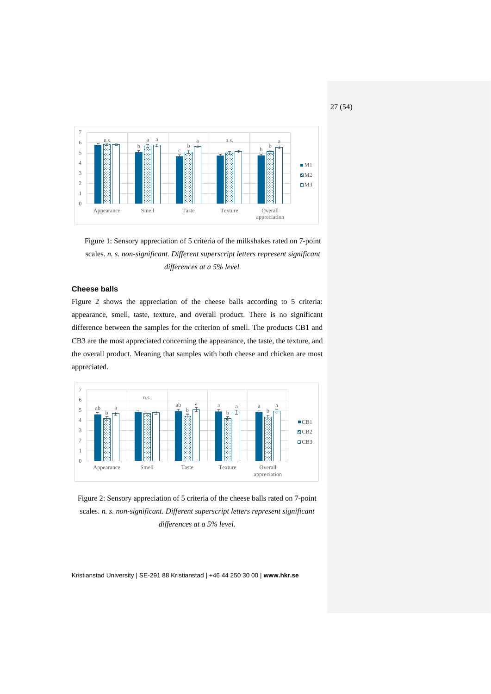

Figure 1: Sensory appreciation of 5 criteria of the milkshakes rated on 7-point scales. *n. s. non-significant. Different superscript letters represent significant differences at a 5% level.*

#### <span id="page-26-0"></span>**Cheese balls**

Figure 2 shows the appreciation of the cheese balls according to 5 criteria: appearance, smell, taste, texture, and overall product. There is no significant difference between the samples for the criterion of smell. The products CB1 and CB3 are the most appreciated concerning the appearance, the taste, the texture, and the overall product. Meaning that samples with both cheese and chicken are most appreciated.



Figure 2: Sensory appreciation of 5 criteria of the cheese balls rated on 7-point scales. *n. s. non-significant. Different superscript letters represent significant differences at a 5% level.*

Kristianstad University | SE-291 88 Kristianstad | +46 44 250 30 00 | **www.hkr.se**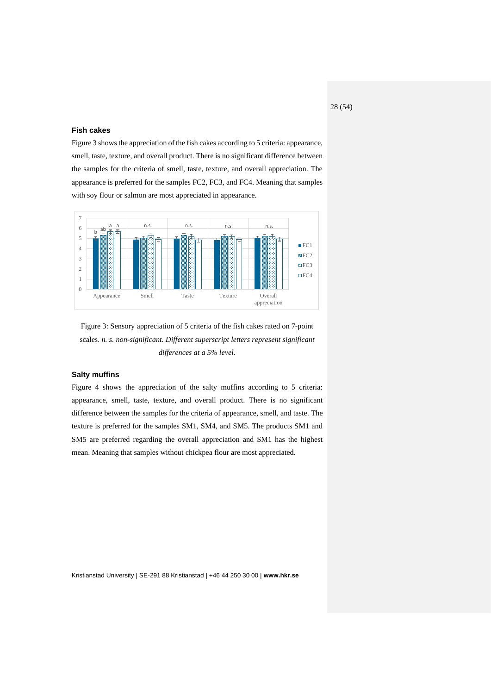#### <span id="page-27-0"></span>**Fish cakes**

Figure 3 shows the appreciation of the fish cakes according to 5 criteria: appearance, smell, taste, texture, and overall product. There is no significant difference between the samples for the criteria of smell, taste, texture, and overall appreciation. The appearance is preferred for the samples FC2, FC3, and FC4. Meaning that samples with soy flour or salmon are most appreciated in appearance.



Figure 3: Sensory appreciation of 5 criteria of the fish cakes rated on 7-point scales. *n. s. non-significant. Different superscript letters represent significant differences at a 5% level.*

#### <span id="page-27-1"></span>**Salty muffins**

Figure 4 shows the appreciation of the salty muffins according to 5 criteria: appearance, smell, taste, texture, and overall product. There is no significant difference between the samples for the criteria of appearance, smell, and taste. The texture is preferred for the samples SM1, SM4, and SM5. The products SM1 and SM5 are preferred regarding the overall appreciation and SM1 has the highest mean. Meaning that samples without chickpea flour are most appreciated.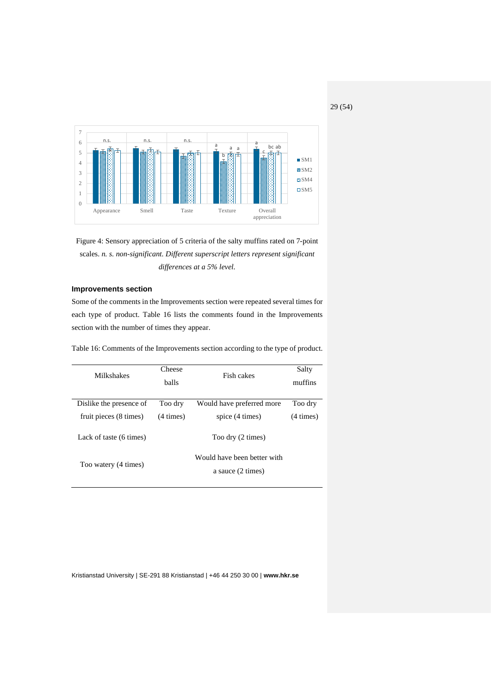29 (54)



Figure 4: Sensory appreciation of 5 criteria of the salty muffins rated on 7-point scales. *n. s. non-significant. Different superscript letters represent significant differences at a 5% level.*

#### <span id="page-28-0"></span>**Improvements section**

Some of the comments in the Improvements section were repeated several times for each type of product. Table 16 lists the comments found in the Improvements section with the number of times they appear.

Table 16: Comments of the Improvements section according to the type of product.

| Milkshakes                                        | Cheese<br><b>balls</b>  | Fish cakes                                   | Salty<br>muffins        |
|---------------------------------------------------|-------------------------|----------------------------------------------|-------------------------|
| Dislike the presence of<br>fruit pieces (8 times) | Too dry<br>$(4 \times)$ | Would have preferred more<br>spice (4 times) | Too dry<br>$(4 \times)$ |
| Lack of taste (6 times)                           |                         | Too dry (2 times)                            |                         |
| Too watery (4 times)                              |                         |                                              |                         |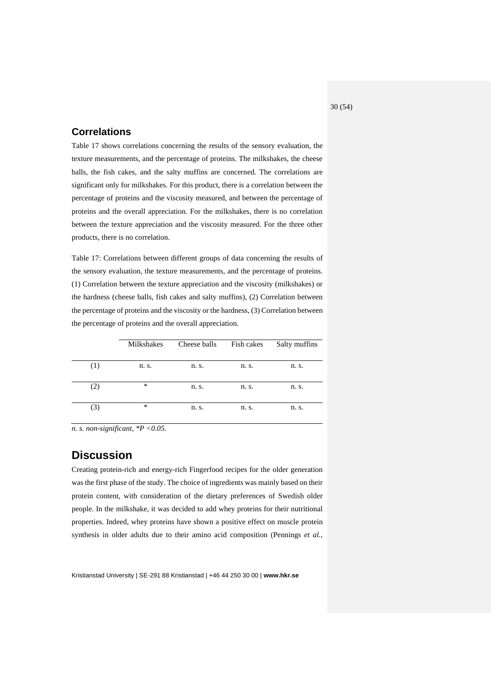# <span id="page-29-0"></span>**Correlations**

Table 17 shows correlations concerning the results of the sensory evaluation, the texture measurements, and the percentage of proteins. The milkshakes, the cheese balls, the fish cakes, and the salty muffins are concerned. The correlations are significant only for milkshakes. For this product, there is a correlation between the percentage of proteins and the viscosity measured, and between the percentage of proteins and the overall appreciation. For the milkshakes, there is no correlation between the texture appreciation and the viscosity measured. For the three other products, there is no correlation.

Table 17: Correlations between different groups of data concerning the results of the sensory evaluation, the texture measurements, and the percentage of proteins. (1) Correlation between the texture appreciation and the viscosity (milkshakes) or the hardness (cheese balls, fish cakes and salty muffins), (2) Correlation between the percentage of proteins and the viscosity or the hardness, (3) Correlation between the percentage of proteins and the overall appreciation.

|     | <b>Milkshakes</b> | Cheese balls | Fish cakes | Salty muffins |
|-----|-------------------|--------------|------------|---------------|
| (1) | n. s.             | n. s.        | n. s.      | n. s.         |
| (2) | $\ast$            | n. s.        | n. s.      | n. s.         |
| (3) | $\ast$            | n. s.        | n. s.      | n. s.         |

*n. s. non-significant, \*P <0.05.*

# <span id="page-29-1"></span>**Discussion**

Creating protein-rich and energy-rich Fingerfood recipes for the older generation was the first phase of the study. The choice of ingredients was mainly based on their protein content, with consideration of the dietary preferences of Swedish older people. In the milkshake, it was decided to add whey proteins for their nutritional properties. Indeed, whey proteins have shown a positive effect on muscle protein synthesis in older adults due to their amino acid composition (Pennings *et al.*,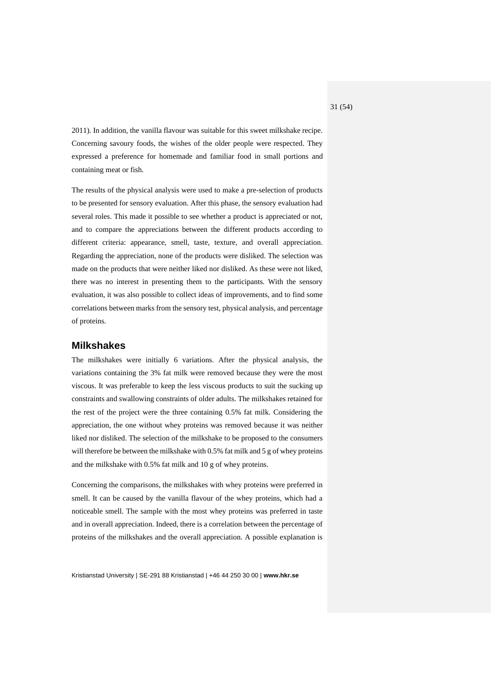2011). In addition, the vanilla flavour was suitable for this sweet milkshake recipe. Concerning savoury foods, the wishes of the older people were respected. They expressed a preference for homemade and familiar food in small portions and containing meat or fish.

The results of the physical analysis were used to make a pre-selection of products to be presented for sensory evaluation. After this phase, the sensory evaluation had several roles. This made it possible to see whether a product is appreciated or not, and to compare the appreciations between the different products according to different criteria: appearance, smell, taste, texture, and overall appreciation. Regarding the appreciation, none of the products were disliked. The selection was made on the products that were neither liked nor disliked. As these were not liked, there was no interest in presenting them to the participants. With the sensory evaluation, it was also possible to collect ideas of improvements, and to find some correlations between marks from the sensory test, physical analysis, and percentage of proteins.

#### <span id="page-30-0"></span>**Milkshakes**

The milkshakes were initially 6 variations. After the physical analysis, the variations containing the 3% fat milk were removed because they were the most viscous. It was preferable to keep the less viscous products to suit the sucking up constraints and swallowing constraints of older adults. The milkshakes retained for the rest of the project were the three containing 0.5% fat milk. Considering the appreciation, the one without whey proteins was removed because it was neither liked nor disliked. The selection of the milkshake to be proposed to the consumers will therefore be between the milkshake with 0.5% fat milk and 5 g of whey proteins and the milkshake with 0.5% fat milk and 10 g of whey proteins.

Concerning the comparisons, the milkshakes with whey proteins were preferred in smell. It can be caused by the vanilla flavour of the whey proteins, which had a noticeable smell. The sample with the most whey proteins was preferred in taste and in overall appreciation. Indeed, there is a correlation between the percentage of proteins of the milkshakes and the overall appreciation. A possible explanation is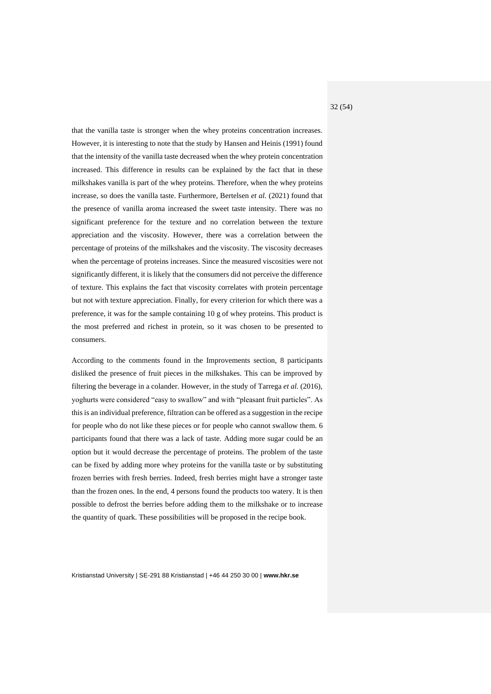that the vanilla taste is stronger when the whey proteins concentration increases. However, it is interesting to note that the study by Hansen and Heinis (1991) found that the intensity of the vanilla taste decreased when the whey protein concentration increased. This difference in results can be explained by the fact that in these milkshakes vanilla is part of the whey proteins. Therefore, when the whey proteins increase, so does the vanilla taste. Furthermore, Bertelsen *et al.* (2021) found that the presence of vanilla aroma increased the sweet taste intensity. There was no significant preference for the texture and no correlation between the texture appreciation and the viscosity. However, there was a correlation between the percentage of proteins of the milkshakes and the viscosity. The viscosity decreases when the percentage of proteins increases. Since the measured viscosities were not significantly different, it is likely that the consumers did not perceive the difference of texture. This explains the fact that viscosity correlates with protein percentage but not with texture appreciation. Finally, for every criterion for which there was a preference, it was for the sample containing 10 g of whey proteins. This product is the most preferred and richest in protein, so it was chosen to be presented to consumers.

According to the comments found in the Improvements section, 8 participants disliked the presence of fruit pieces in the milkshakes. This can be improved by filtering the beverage in a colander. However, in the study of Tarrega *et al.* (2016), yoghurts were considered "easy to swallow" and with "pleasant fruit particles". As this is an individual preference, filtration can be offered as a suggestion in the recipe for people who do not like these pieces or for people who cannot swallow them. 6 participants found that there was a lack of taste. Adding more sugar could be an option but it would decrease the percentage of proteins. The problem of the taste can be fixed by adding more whey proteins for the vanilla taste or by substituting frozen berries with fresh berries. Indeed, fresh berries might have a stronger taste than the frozen ones. In the end, 4 persons found the products too watery. It is then possible to defrost the berries before adding them to the milkshake or to increase the quantity of quark. These possibilities will be proposed in the recipe book.

Kristianstad University | SE-291 88 Kristianstad | +46 44 250 30 00 | **www.hkr.se**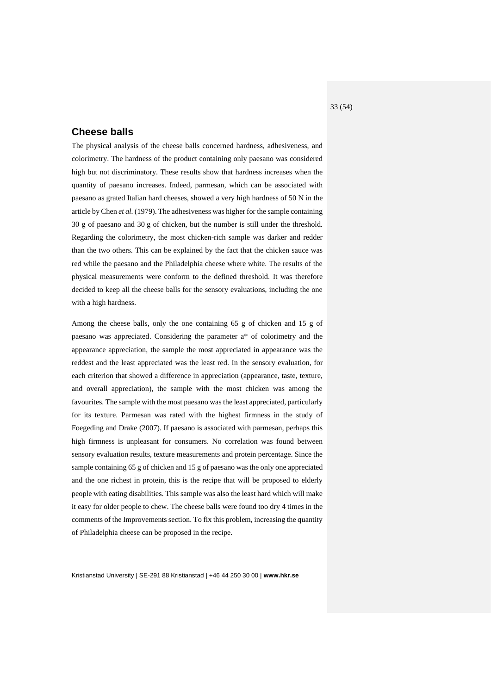# <span id="page-32-0"></span>**Cheese balls**

The physical analysis of the cheese balls concerned hardness, adhesiveness, and colorimetry. The hardness of the product containing only paesano was considered high but not discriminatory. These results show that hardness increases when the quantity of paesano increases. Indeed, parmesan, which can be associated with paesano as grated Italian hard cheeses, showed a very high hardness of 50 N in the article by Chen *et al.* (1979). The adhesiveness was higher for the sample containing 30 g of paesano and 30 g of chicken, but the number is still under the threshold. Regarding the colorimetry, the most chicken-rich sample was darker and redder than the two others. This can be explained by the fact that the chicken sauce was red while the paesano and the Philadelphia cheese where white. The results of the physical measurements were conform to the defined threshold. It was therefore decided to keep all the cheese balls for the sensory evaluations, including the one with a high hardness.

Among the cheese balls, only the one containing 65 g of chicken and 15 g of paesano was appreciated. Considering the parameter a\* of colorimetry and the appearance appreciation, the sample the most appreciated in appearance was the reddest and the least appreciated was the least red. In the sensory evaluation, for each criterion that showed a difference in appreciation (appearance, taste, texture, and overall appreciation), the sample with the most chicken was among the favourites. The sample with the most paesano was the least appreciated, particularly for its texture. Parmesan was rated with the highest firmness in the study of Foegeding and Drake (2007). If paesano is associated with parmesan, perhaps this high firmness is unpleasant for consumers. No correlation was found between sensory evaluation results, texture measurements and protein percentage. Since the sample containing 65 g of chicken and 15 g of paesano was the only one appreciated and the one richest in protein, this is the recipe that will be proposed to elderly people with eating disabilities. This sample was also the least hard which will make it easy for older people to chew. The cheese balls were found too dry 4 times in the comments of the Improvements section. To fix this problem, increasing the quantity of Philadelphia cheese can be proposed in the recipe.

Kristianstad University | SE-291 88 Kristianstad | +46 44 250 30 00 | **www.hkr.se**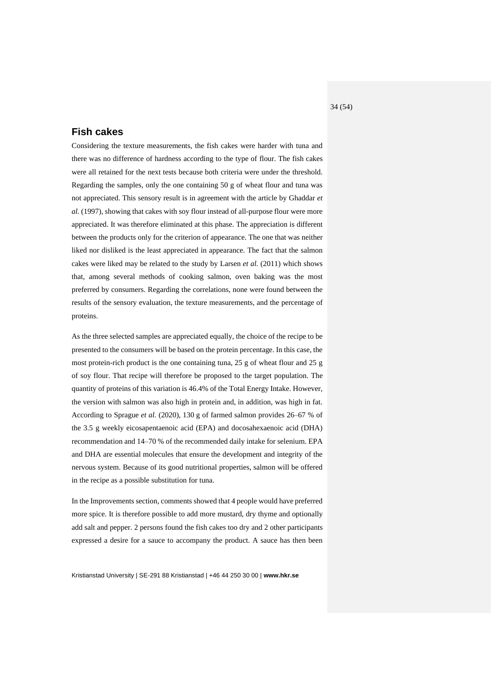# <span id="page-33-0"></span>**Fish cakes**

Considering the texture measurements, the fish cakes were harder with tuna and there was no difference of hardness according to the type of flour. The fish cakes were all retained for the next tests because both criteria were under the threshold. Regarding the samples, only the one containing 50 g of wheat flour and tuna was not appreciated. This sensory result is in agreement with the article by Ghaddar *et al.* (1997), showing that cakes with soy flour instead of all-purpose flour were more appreciated. It was therefore eliminated at this phase. The appreciation is different between the products only for the criterion of appearance. The one that was neither liked nor disliked is the least appreciated in appearance. The fact that the salmon cakes were liked may be related to the study by Larsen *et al.* (2011) which shows that, among several methods of cooking salmon, oven baking was the most preferred by consumers. Regarding the correlations, none were found between the results of the sensory evaluation, the texture measurements, and the percentage of proteins.

As the three selected samples are appreciated equally, the choice of the recipe to be presented to the consumers will be based on the protein percentage. In this case, the most protein-rich product is the one containing tuna, 25 g of wheat flour and 25 g of soy flour. That recipe will therefore be proposed to the target population. The quantity of proteins of this variation is 46.4% of the Total Energy Intake. However, the version with salmon was also high in protein and, in addition, was high in fat. According to Sprague *et al.* (2020), 130 g of farmed salmon provides 26–67 % of the 3.5 g weekly eicosapentaenoic acid (EPA) and docosahexaenoic acid (DHA) recommendation and 14–70 % of the recommended daily intake for selenium. EPA and DHA are essential molecules that ensure the development and integrity of the nervous system. Because of its good nutritional properties, salmon will be offered in the recipe as a possible substitution for tuna.

In the Improvements section, comments showed that 4 people would have preferred more spice. It is therefore possible to add more mustard, dry thyme and optionally add salt and pepper. 2 persons found the fish cakes too dry and 2 other participants expressed a desire for a sauce to accompany the product. A sauce has then been

Kristianstad University | SE-291 88 Kristianstad | +46 44 250 30 00 | **www.hkr.se**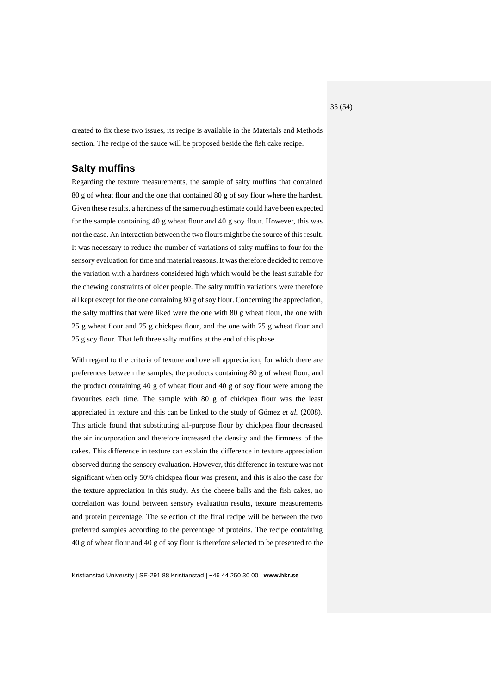created to fix these two issues, its recipe is available in the Materials and Methods section. The recipe of the sauce will be proposed beside the fish cake recipe.

### <span id="page-34-0"></span>**Salty muffins**

Regarding the texture measurements, the sample of salty muffins that contained 80 g of wheat flour and the one that contained 80 g of soy flour where the hardest. Given these results, a hardness of the same rough estimate could have been expected for the sample containing 40 g wheat flour and 40 g soy flour. However, this was not the case. An interaction between the two flours might be the source of this result. It was necessary to reduce the number of variations of salty muffins to four for the sensory evaluation for time and material reasons. It was therefore decided to remove the variation with a hardness considered high which would be the least suitable for the chewing constraints of older people. The salty muffin variations were therefore all kept except for the one containing 80 g of soy flour. Concerning the appreciation, the salty muffins that were liked were the one with 80 g wheat flour, the one with 25 g wheat flour and 25 g chickpea flour, and the one with 25 g wheat flour and 25 g soy flour. That left three salty muffins at the end of this phase.

With regard to the criteria of texture and overall appreciation, for which there are preferences between the samples, the products containing 80 g of wheat flour, and the product containing 40 g of wheat flour and 40 g of soy flour were among the favourites each time. The sample with 80 g of chickpea flour was the least appreciated in texture and this can be linked to the study of Gómez *et al.* (2008). This article found that substituting all-purpose flour by chickpea flour decreased the air incorporation and therefore increased the density and the firmness of the cakes. This difference in texture can explain the difference in texture appreciation observed during the sensory evaluation. However, this difference in texture was not significant when only 50% chickpea flour was present, and this is also the case for the texture appreciation in this study. As the cheese balls and the fish cakes, no correlation was found between sensory evaluation results, texture measurements and protein percentage. The selection of the final recipe will be between the two preferred samples according to the percentage of proteins. The recipe containing 40 g of wheat flour and 40 g of soy flour is therefore selected to be presented to the

Kristianstad University | SE-291 88 Kristianstad | +46 44 250 30 00 | **www.hkr.se**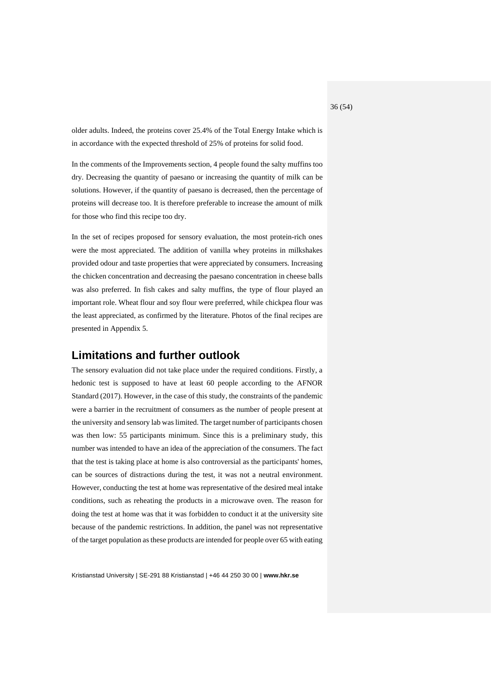older adults. Indeed, the proteins cover 25.4% of the Total Energy Intake which is in accordance with the expected threshold of 25% of proteins for solid food.

In the comments of the Improvements section, 4 people found the salty muffins too dry. Decreasing the quantity of paesano or increasing the quantity of milk can be solutions. However, if the quantity of paesano is decreased, then the percentage of proteins will decrease too. It is therefore preferable to increase the amount of milk for those who find this recipe too dry.

In the set of recipes proposed for sensory evaluation, the most protein-rich ones were the most appreciated. The addition of vanilla whey proteins in milkshakes provided odour and taste properties that were appreciated by consumers. Increasing the chicken concentration and decreasing the paesano concentration in cheese balls was also preferred. In fish cakes and salty muffins, the type of flour played an important role. Wheat flour and soy flour were preferred, while chickpea flour was the least appreciated, as confirmed by the literature. Photos of the final recipes are presented in Appendix 5.

# <span id="page-35-0"></span>**Limitations and further outlook**

The sensory evaluation did not take place under the required conditions. Firstly, a hedonic test is supposed to have at least 60 people according to the AFNOR Standard (2017). However, in the case of this study, the constraints of the pandemic were a barrier in the recruitment of consumers as the number of people present at the university and sensory lab was limited. The target number of participants chosen was then low: 55 participants minimum. Since this is a preliminary study, this number was intended to have an idea of the appreciation of the consumers. The fact that the test is taking place at home is also controversial as the participants' homes, can be sources of distractions during the test, it was not a neutral environment. However, conducting the test at home was representative of the desired meal intake conditions, such as reheating the products in a microwave oven. The reason for doing the test at home was that it was forbidden to conduct it at the university site because of the pandemic restrictions. In addition, the panel was not representative of the target population as these products are intended for people over 65 with eating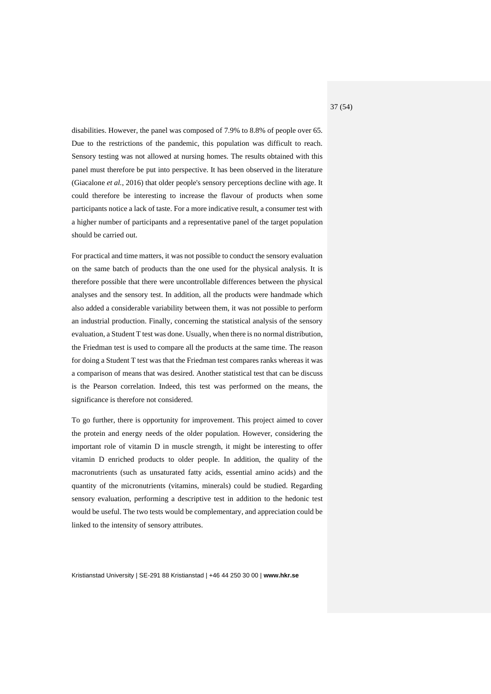disabilities. However, the panel was composed of 7.9% to 8.8% of people over 65. Due to the restrictions of the pandemic, this population was difficult to reach. Sensory testing was not allowed at nursing homes. The results obtained with this panel must therefore be put into perspective. It has been observed in the literature (Giacalone *et al.*, 2016) that older people's sensory perceptions decline with age. It could therefore be interesting to increase the flavour of products when some participants notice a lack of taste. For a more indicative result, a consumer test with a higher number of participants and a representative panel of the target population should be carried out.

For practical and time matters, it was not possible to conduct the sensory evaluation on the same batch of products than the one used for the physical analysis. It is therefore possible that there were uncontrollable differences between the physical analyses and the sensory test. In addition, all the products were handmade which also added a considerable variability between them, it was not possible to perform an industrial production. Finally, concerning the statistical analysis of the sensory evaluation, a Student T test was done. Usually, when there is no normal distribution, the Friedman test is used to compare all the products at the same time. The reason for doing a Student T test was that the Friedman test compares ranks whereas it was a comparison of means that was desired. Another statistical test that can be discuss is the Pearson correlation. Indeed, this test was performed on the means, the significance is therefore not considered.

To go further, there is opportunity for improvement. This project aimed to cover the protein and energy needs of the older population. However, considering the important role of vitamin D in muscle strength, it might be interesting to offer vitamin D enriched products to older people. In addition, the quality of the macronutrients (such as unsaturated fatty acids, essential amino acids) and the quantity of the micronutrients (vitamins, minerals) could be studied. Regarding sensory evaluation, performing a descriptive test in addition to the hedonic test would be useful. The two tests would be complementary, and appreciation could be linked to the intensity of sensory attributes.

Kristianstad University | SE-291 88 Kristianstad | +46 44 250 30 00 | **www.hkr.se**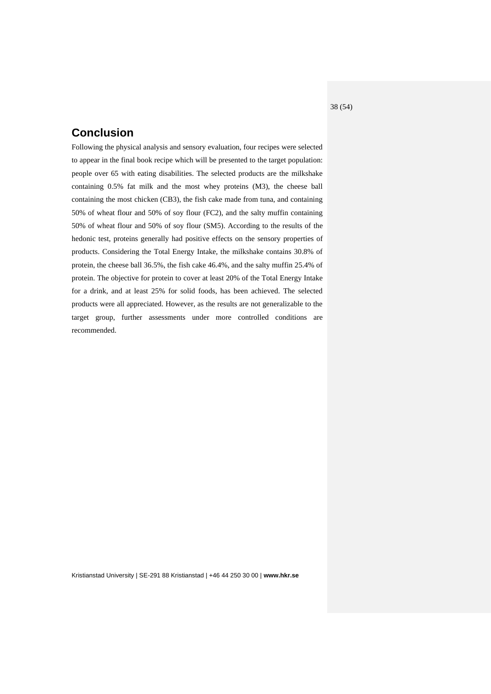# <span id="page-37-0"></span>**Conclusion**

Following the physical analysis and sensory evaluation, four recipes were selected to appear in the final book recipe which will be presented to the target population: people over 65 with eating disabilities. The selected products are the milkshake containing 0.5% fat milk and the most whey proteins (M3), the cheese ball containing the most chicken (CB3), the fish cake made from tuna, and containing 50% of wheat flour and 50% of soy flour (FC2), and the salty muffin containing 50% of wheat flour and 50% of soy flour (SM5). According to the results of the hedonic test, proteins generally had positive effects on the sensory properties of products. Considering the Total Energy Intake, the milkshake contains 30.8% of protein, the cheese ball 36.5%, the fish cake 46.4%, and the salty muffin 25.4% of protein. The objective for protein to cover at least 20% of the Total Energy Intake for a drink, and at least 25% for solid foods, has been achieved. The selected products were all appreciated. However, as the results are not generalizable to the target group, further assessments under more controlled conditions are recommended.

Kristianstad University | SE-291 88 Kristianstad | +46 44 250 30 00 | **www.hkr.se**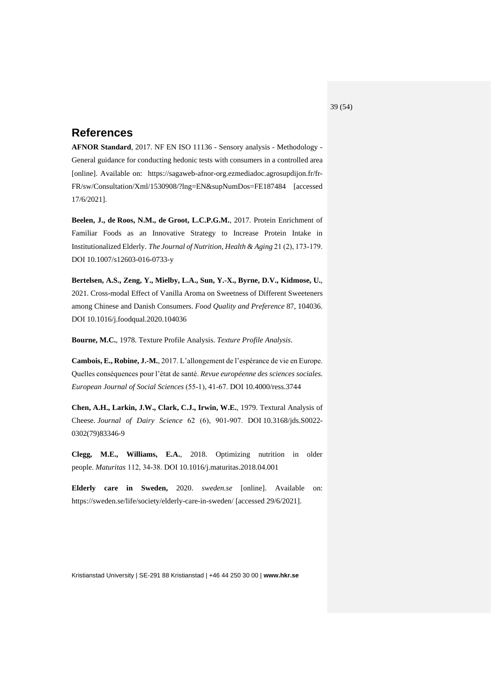# <span id="page-38-0"></span>**References**

**AFNOR Standard**, 2017. NF EN ISO 11136 - Sensory analysis - Methodology - General guidance for conducting hedonic tests with consumers in a controlled area [online]. Available on: https://sagaweb-afnor-org.ezmediadoc.agrosupdijon.fr/fr-FR/sw/Consultation/Xml/1530908/?lng=EN&supNumDos=FE187484 [accessed 17/6/2021].

**Beelen, J., de Roos, N.M., de Groot, L.C.P.G.M.**, 2017. Protein Enrichment of Familiar Foods as an Innovative Strategy to Increase Protein Intake in Institutionalized Elderly. *The Journal of Nutrition, Health & Aging* 21 (2), 173‑179. DOI 10.1007/s12603-016-0733-y

**Bertelsen, A.S., Zeng, Y., Mielby, L.A., Sun, Y.-X., Byrne, D.V., Kidmose, U.**, 2021. Cross-modal Effect of Vanilla Aroma on Sweetness of Different Sweeteners among Chinese and Danish Consumers. *Food Quality and Preference* 87, 104036. DOI 10.1016/j.foodqual.2020.104036

**Bourne, M.C.**, 1978. Texture Profile Analysis. *Texture Profile Analysis*.

**Cambois, E., Robine, J.-M.**, 2017. L'allongement de l'espérance de vie en Europe. Quelles conséquences pour l'état de santé. *Revue européenne des sciences sociales. European Journal of Social Sciences* (55‑1), 41‑67. DOI 10.4000/ress.3744

**Chen, A.H., Larkin, J.W., Clark, C.J., Irwin, W.E.**, 1979. Textural Analysis of Cheese. *Journal of Dairy Science* 62 (6), 901‑907. DOI 10.3168/jds.S0022- 0302(79)83346-9

**Clegg, M.E., Williams, E.A.**, 2018. Optimizing nutrition in older people. *Maturitas* 112, 34‑38. DOI 10.1016/j.maturitas.2018.04.001

**Elderly care in Sweden,** 2020. *sweden.se* [online]. Available on: https://sweden.se/life/society/elderly-care-in-sweden/ [accessed 29/6/2021].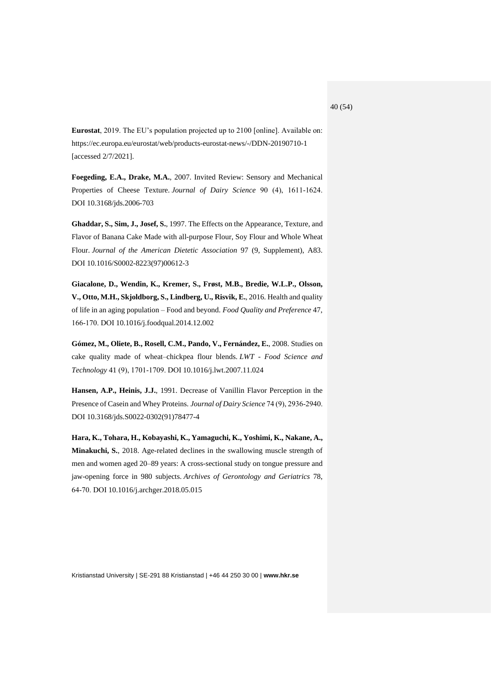**Eurostat**, 2019. The EU's population projected up to 2100 [online]. Available on: https://ec.europa.eu/eurostat/web/products-eurostat-news/-/DDN-20190710-1 [accessed 2/7/2021].

**Foegeding, E.A., Drake, M.A.**, 2007. Invited Review: Sensory and Mechanical Properties of Cheese Texture. *Journal of Dairy Science* 90 (4), 1611-1624. DOI 10.3168/jds.2006-703

**Ghaddar, S., Sim, J., Josef, S.**, 1997. The Effects on the Appearance, Texture, and Flavor of Banana Cake Made with all-purpose Flour, Soy Flour and Whole Wheat Flour. *Journal of the American Dietetic Association* 97 (9, Supplement), A83. DOI 10.1016/S0002-8223(97)00612-3

**Giacalone, D., Wendin, K., Kremer, S., Frøst, M.B., Bredie, W.L.P., Olsson, V., Otto, M.H., Skjoldborg, S., Lindberg, U., Risvik, E.**, 2016. Health and quality of life in an aging population – Food and beyond. *Food Quality and Preference* 47, 166‑170. DOI 10.1016/j.foodqual.2014.12.002

**Gómez, M., Oliete, B., Rosell, C.M., Pando, V., Fernández, E.**, 2008. Studies on cake quality made of wheat–chickpea flour blends. *LWT - Food Science and Technology* 41 (9), 1701‑1709. DOI 10.1016/j.lwt.2007.11.024

**Hansen, A.P., Heinis, J.J.**, 1991. Decrease of Vanillin Flavor Perception in the Presence of Casein and Whey Proteins. *Journal of Dairy Science* 74 (9), 2936-2940. DOI 10.3168/jds.S0022-0302(91)78477-4

**Hara, K., Tohara, H., Kobayashi, K., Yamaguchi, K., Yoshimi, K., Nakane, A., Minakuchi, S.**, 2018. Age-related declines in the swallowing muscle strength of men and women aged 20–89 years: A cross-sectional study on tongue pressure and jaw-opening force in 980 subjects. *Archives of Gerontology and Geriatrics* 78, 64‑70. DOI 10.1016/j.archger.2018.05.015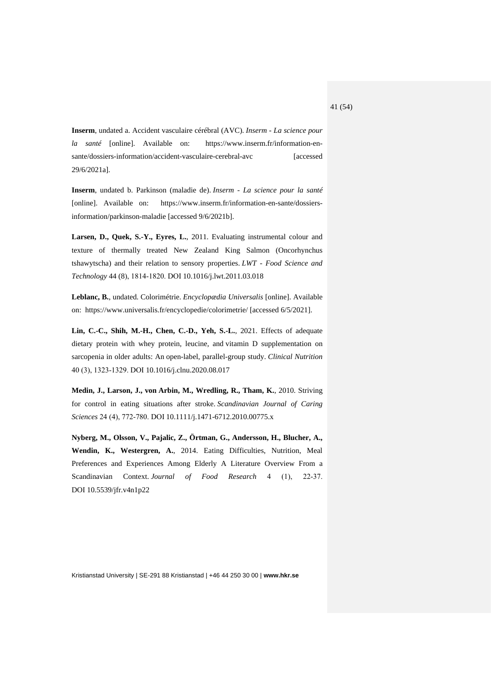**Inserm**, undated a. Accident vasculaire cérébral (AVC). *Inserm - La science pour la santé* [online]. Available on: https://www.inserm.fr/information-ensante/dossiers-information/accident-vasculaire-cerebral-avc [accessed] 29/6/2021a].

**Inserm**, undated b. Parkinson (maladie de). *Inserm - La science pour la santé* [online]. Available on: https://www.inserm.fr/information-en-sante/dossiersinformation/parkinson-maladie [accessed 9/6/2021b].

**Larsen, D., Quek, S.-Y., Eyres, L.**, 2011. Evaluating instrumental colour and texture of thermally treated New Zealand King Salmon (Oncorhynchus tshawytscha) and their relation to sensory properties. *LWT - Food Science and Technology* 44 (8), 1814‑1820. DOI 10.1016/j.lwt.2011.03.018

**Leblanc, B.**, undated. Colorimétrie. *Encyclopædia Universalis* [online]. Available on: https://www.universalis.fr/encyclopedie/colorimetrie/ [accessed 6/5/2021].

**Lin, C.-C., Shih, M.-H., Chen, C.-D., Yeh, S.-L.**, 2021. Effects of adequate dietary protein with whey protein, leucine, and vitamin D supplementation on sarcopenia in older adults: An open-label, parallel-group study. *Clinical Nutrition* 40 (3), 1323‑1329. DOI 10.1016/j.clnu.2020.08.017

**Medin, J., Larson, J., von Arbin, M., Wredling, R., Tham, K.**, 2010. Striving for control in eating situations after stroke. *Scandinavian Journal of Caring Sciences* 24 (4), 772‑780. DOI 10.1111/j.1471-6712.2010.00775.x

**Nyberg, M., Olsson, V., Pajalic, Z., Örtman, G., Andersson, H., Blucher, A., Wendin, K., Westergren, A.**, 2014. Eating Difficulties, Nutrition, Meal Preferences and Experiences Among Elderly A Literature Overview From a Scandinavian Context. *Journal of Food Research* 4 (1), 22-37. DOI 10.5539/jfr.v4n1p22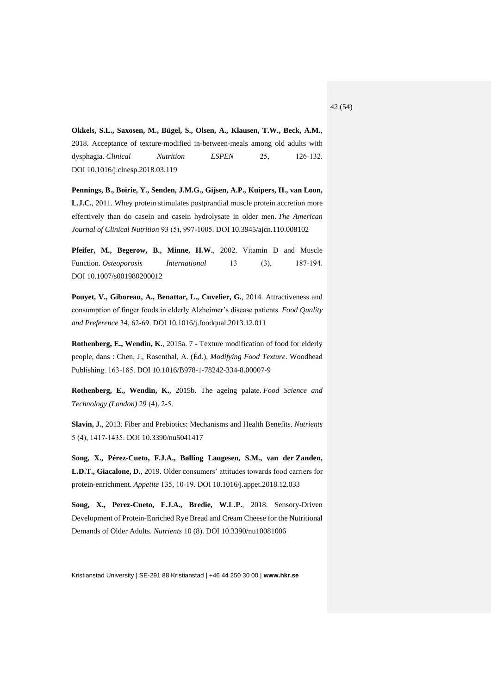**Okkels, S.L., Saxosen, M., Bügel, S., Olsen, A., Klausen, T.W., Beck, A.M.**, 2018. Acceptance of texture-modified in-between-meals among old adults with dysphagia. *Clinical Nutrition ESPEN* 25, 126-132. DOI 10.1016/j.clnesp.2018.03.119

**Pennings, B., Boirie, Y., Senden, J.M.G., Gijsen, A.P., Kuipers, H., van Loon, L.J.C.**, 2011. Whey protein stimulates postprandial muscle protein accretion more effectively than do casein and casein hydrolysate in older men. *The American Journal of Clinical Nutrition* 93 (5), 997‑1005. DOI 10.3945/ajcn.110.008102

**Pfeifer, M., Begerow, B., Minne, H.W.**, 2002. Vitamin D and Muscle Function. *Osteoporosis International* 13 (3), 187-194. DOI 10.1007/s001980200012

**Pouyet, V., Giboreau, A., Benattar, L., Cuvelier, G.**, 2014. Attractiveness and consumption of finger foods in elderly Alzheimer's disease patients. *Food Quality and Preference* 34, 62‑69. DOI 10.1016/j.foodqual.2013.12.011

**Rothenberg, E., Wendin, K.**, 2015a. 7 - Texture modification of food for elderly people, dans : Chen, J., Rosenthal, A. (Éd.), *Modifying Food Texture*. Woodhead Publishing. 163‑185. DOI 10.1016/B978-1-78242-334-8.00007-9

**Rothenberg, E., Wendin, K.**, 2015b. The ageing palate. *Food Science and Technology (London)* 29 (4), 2‑5.

**Slavin, J.**, 2013. Fiber and Prebiotics: Mechanisms and Health Benefits. *Nutrients* 5 (4), 1417‑1435. DOI 10.3390/nu5041417

**Song, X., Pérez-Cueto, F.J.A., Bølling Laugesen, S.M., van der Zanden, L.D.T., Giacalone, D.**, 2019. Older consumers' attitudes towards food carriers for protein-enrichment. *Appetite* 135, 10‑19. DOI 10.1016/j.appet.2018.12.033

**Song, X., Perez-Cueto, F.J.A., Bredie, W.L.P.**, 2018. Sensory-Driven Development of Protein-Enriched Rye Bread and Cream Cheese for the Nutritional Demands of Older Adults. *Nutrients* 10 (8). DOI 10.3390/nu10081006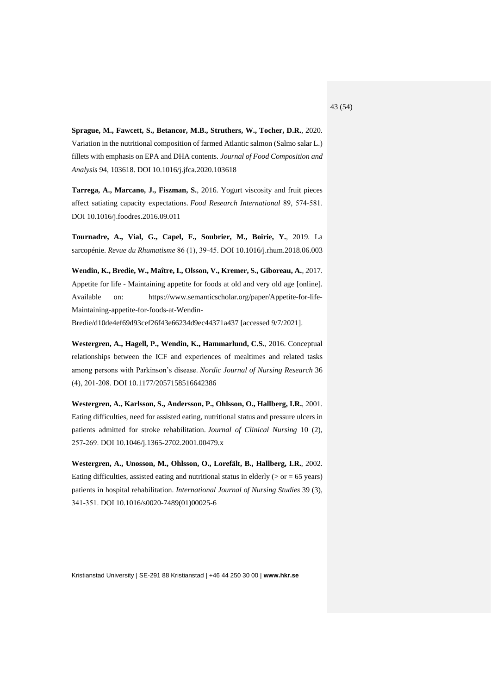**Sprague, M., Fawcett, S., Betancor, M.B., Struthers, W., Tocher, D.R.**, 2020. Variation in the nutritional composition of farmed Atlantic salmon (Salmo salar L.) fillets with emphasis on EPA and DHA contents. *Journal of Food Composition and Analysis* 94, 103618. DOI 10.1016/j.jfca.2020.103618

**Tarrega, A., Marcano, J., Fiszman, S.**, 2016. Yogurt viscosity and fruit pieces affect satiating capacity expectations. *Food Research International* 89, 574‑581. DOI 10.1016/j.foodres.2016.09.011

**Tournadre, A., Vial, G., Capel, F., Soubrier, M., Boirie, Y.**, 2019. La sarcopénie. *Revue du Rhumatisme* 86 (1), 39‑45. DOI 10.1016/j.rhum.2018.06.003

**Wendin, K., Bredie, W., Maître, I., Olsson, V., Kremer, S., Giboreau, A.**, 2017. Appetite for life - Maintaining appetite for foods at old and very old age [online]. Available on: https://www.semanticscholar.org/paper/Appetite-for-life-Maintaining-appetite-for-foods-at-Wendin-

Bredie/d10de4ef69d93cef26f43e66234d9ec44371a437 [accessed 9/7/2021].

**Westergren, A., Hagell, P., Wendin, K., Hammarlund, C.S.**, 2016. Conceptual relationships between the ICF and experiences of mealtimes and related tasks among persons with Parkinson's disease. *Nordic Journal of Nursing Research* 36 (4), 201‑208. DOI 10.1177/2057158516642386

**Westergren, A., Karlsson, S., Andersson, P., Ohlsson, O., Hallberg, I.R.**, 2001. Eating difficulties, need for assisted eating, nutritional status and pressure ulcers in patients admitted for stroke rehabilitation. *Journal of Clinical Nursing* 10 (2), 257‑269. DOI 10.1046/j.1365-2702.2001.00479.x

**Westergren, A., Unosson, M., Ohlsson, O., Lorefält, B., Hallberg, I.R.**, 2002. Eating difficulties, assisted eating and nutritional status in elderly  $(>$  or = 65 years) patients in hospital rehabilitation. *International Journal of Nursing Studies* 39 (3), 341‑351. DOI 10.1016/s0020-7489(01)00025-6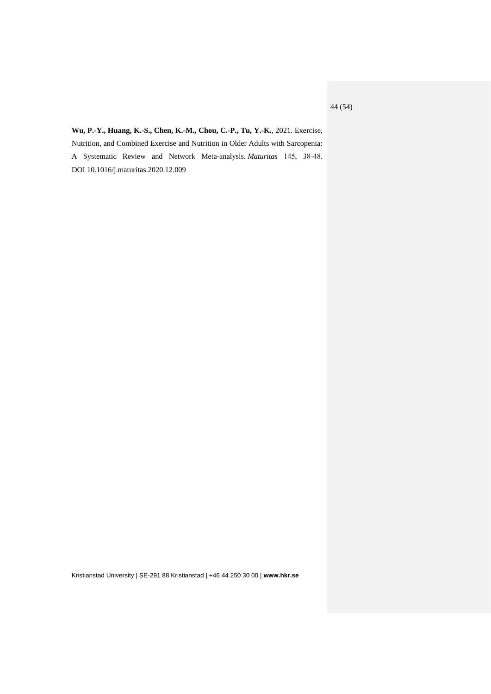**Wu, P.-Y., Huang, K.-S., Chen, K.-M., Chou, C.-P., Tu, Y.-K.**, 2021. Exercise, Nutrition, and Combined Exercise and Nutrition in Older Adults with Sarcopenia: A Systematic Review and Network Meta-analysis. *Maturitas* 145, 38‑48. DOI 10.1016/j.maturitas.2020.12.009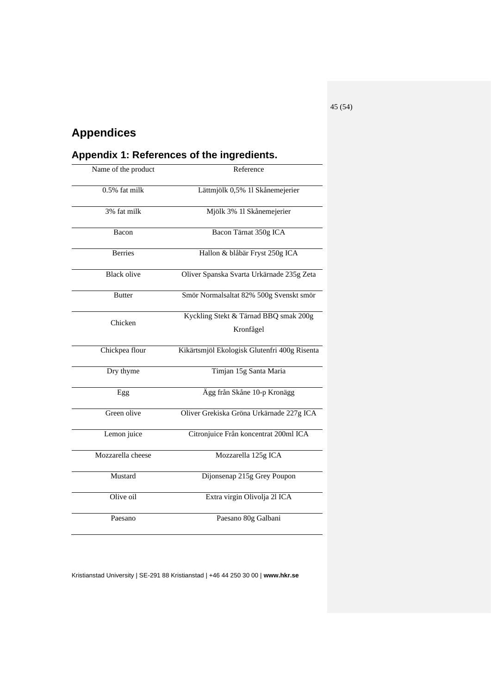# <span id="page-44-0"></span>**Appendices**

<span id="page-44-1"></span>

| Appendix 1: References of the ingredients. |                                                    |  |  |
|--------------------------------------------|----------------------------------------------------|--|--|
| Name of the product                        | Reference                                          |  |  |
| 0.5% fat milk                              | Lättmjölk 0,5% 11 Skånemejerier                    |  |  |
| 3% fat milk                                | Mjölk 3% 11 Skånemejerier                          |  |  |
| Bacon                                      | Bacon Tärnat 350g ICA                              |  |  |
| <b>Berries</b>                             | Hallon & blåbär Fryst 250g ICA                     |  |  |
| <b>Black olive</b>                         | Oliver Spanska Svarta Urkärnade 235g Zeta          |  |  |
| <b>Butter</b>                              | Smör Normalsaltat 82% 500g Svenskt smör            |  |  |
| Chicken                                    | Kyckling Stekt & Tärnad BBQ smak 200g<br>Kronfågel |  |  |
| Chickpea flour                             | Kikärtsmjöl Ekologisk Glutenfri 400g Risenta       |  |  |
| Dry thyme                                  | Timjan 15g Santa Maria                             |  |  |
| Egg                                        | Ägg från Skåne 10-p Kronägg                        |  |  |
| Green olive                                | Oliver Grekiska Gröna Urkärnade 227g ICA           |  |  |
| Lemon juice                                | Citronjuice Från koncentrat 200ml ICA              |  |  |
| Mozzarella cheese                          | Mozzarella 125g ICA                                |  |  |
| Mustard                                    | Dijonsenap 215g Grey Poupon                        |  |  |
| Olive oil                                  | Extra virgin Olivolja 21 ICA                       |  |  |
| Paesano                                    | Paesano 80g Galbani                                |  |  |

Kristianstad University | SE-291 88 Kristianstad | +46 44 250 30 00 | **www.hkr.se**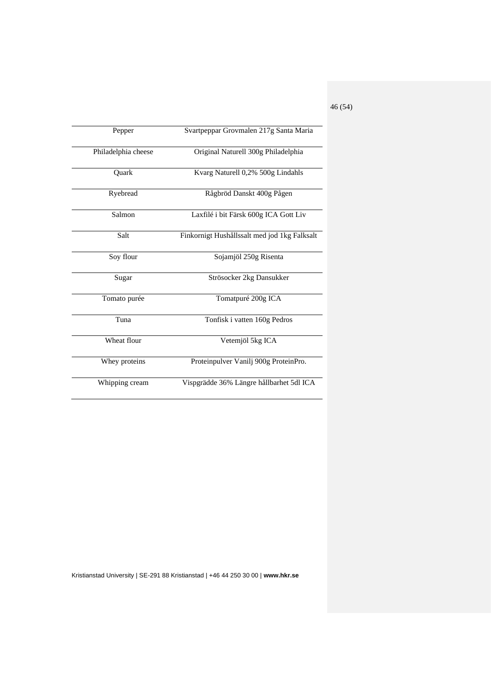| Pepper              | Svartpeppar Grovmalen 217g Santa Maria       |
|---------------------|----------------------------------------------|
| Philadelphia cheese | Original Naturell 300g Philadelphia          |
| Ouark               | Kvarg Naturell 0,2% 500g Lindahls            |
| Ryebread            | Rågbröd Danskt 400g Pågen                    |
| Salmon              | Laxfilé i bit Färsk 600g ICA Gott Liv        |
| Salt                | Finkornigt Hushållssalt med jod 1kg Falksalt |
| Soy flour           | Sojamjöl 250g Risenta                        |
| Sugar               | Strösocker 2kg Dansukker                     |
| Tomato purée        | Tomatpuré 200g ICA                           |
| Tuna                | Tonfisk i vatten 160g Pedros                 |
| Wheat flour         | Vetemjöl 5kg ICA                             |
| Whey proteins       | Proteinpulver Vanilj 900g ProteinPro.        |
| Whipping cream      | Vispgrädde 36% Längre hållbarhet 5dl ICA     |

Kristianstad University | SE-291 88 Kristianstad | +46 44 250 30 00 | **www.hkr.se**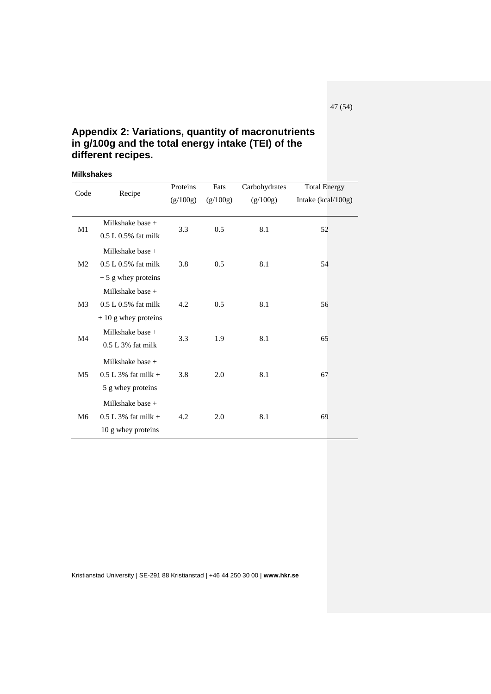# <span id="page-46-0"></span>**Appendix 2: Variations, quantity of macronutrients in g/100g and the total energy intake (TEI) of the different recipes.**

#### <span id="page-46-1"></span>**Milkshakes**

| Code           |                        | Proteins | Fats          | Carbohydrates | <b>Total Energy</b> |
|----------------|------------------------|----------|---------------|---------------|---------------------|
|                | Recipe                 | (g/100g) | (g/100g)      | (g/100g)      | Intake (kcal/100g)  |
|                |                        |          |               |               |                     |
| M1             | Milkshake base $+$     | 3.3      | 0.5           | 8.1           | 52                  |
|                | $0.5 L 0.5%$ fat milk  |          |               |               |                     |
|                | Milkshake base $+$     |          |               |               |                     |
| M <sub>2</sub> | $0.5 L 0.5%$ fat milk  | 3.8      | $0.5^{\circ}$ | 8.1           | 54                  |
|                | $+5$ g whey proteins   |          |               |               |                     |
|                | Milkshake base $+$     |          |               |               |                     |
| M <sub>3</sub> | $0.5 L 0.5\%$ fat milk | 4.2      | 0.5           | 8.1           | 56                  |
|                | $+10$ g whey proteins  |          |               |               |                     |
|                | Milkshake base $+$     |          |               |               |                     |
| M <sub>4</sub> | $0.5 L 3\%$ fat milk   | 3.3      | 1.9           | 8.1           | 65                  |
|                | Milkshake base $+$     |          |               |               |                     |
| M <sub>5</sub> | $0.5$ L 3% fat milk +  | 3.8      | 2.0           | 8.1           | 67                  |
|                | 5 g whey proteins      |          |               |               |                     |
|                | Milkshake base $+$     |          |               |               |                     |
| M6             | $0.5$ L 3% fat milk +  | 4.2      | 2.0           | 8.1           | 69                  |
|                | 10 g whey proteins     |          |               |               |                     |
|                |                        |          |               |               |                     |

Kristianstad University | SE-291 88 Kristianstad | +46 44 250 30 00 | **www.hkr.se**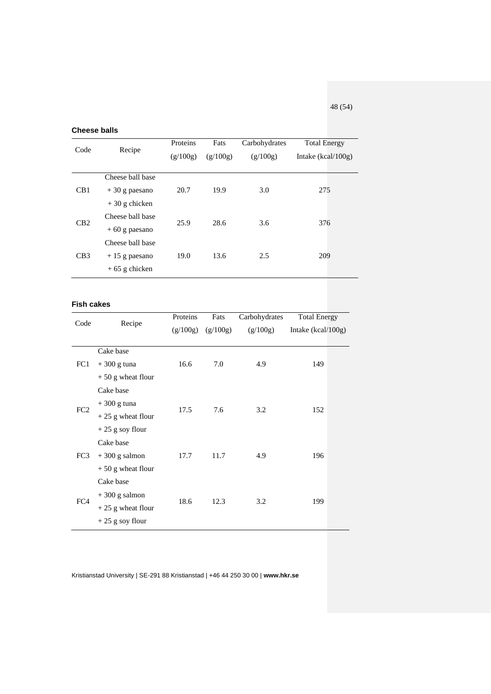<span id="page-47-0"></span>**Cheese balls**

| Code | Recipe                                                  | Proteins<br>(g/100g) | Fats<br>(g/100g) | Carbohydrates<br>(g/100g) | <b>Total Energy</b><br>Intake (kcal/100g) |
|------|---------------------------------------------------------|----------------------|------------------|---------------------------|-------------------------------------------|
| CB1  | Cheese ball base<br>$+30$ g paesano<br>$+30$ g chicken  | 20.7                 | 19.9             | 3.0                       | 275                                       |
| CB2  | Cheese ball base<br>$+60$ g paesano<br>Cheese ball base | 25.9                 | 28.6             | 3.6                       | 376                                       |
| CB3  | $+15$ g paesano<br>$+65$ g chicken                      | 19.0                 | 13.6             | 2.5                       | 209                                       |

### <span id="page-47-1"></span>**Fish cakes**

| Code            | Recipe              | Proteins | Fats     | Carbohydrates | <b>Total Energy</b>  |
|-----------------|---------------------|----------|----------|---------------|----------------------|
|                 |                     | (g/100g) | (g/100g) | (g/100g)      | Intake $(kcal/100g)$ |
|                 |                     |          |          |               |                      |
|                 | Cake base           |          |          |               |                      |
| FC1             | $+300$ g tuna       | 16.6     | 7.0      | 4.9           | 149                  |
|                 | $+50$ g wheat flour |          |          |               |                      |
|                 | Cake base           |          |          |               |                      |
| FC <sub>2</sub> | $+300$ g tuna       | 17.5     | 7.6      | 3.2           | 152                  |
|                 | $+25$ g wheat flour |          |          |               |                      |
|                 | $+25$ g soy flour   |          |          |               |                      |
|                 | Cake base           |          |          |               |                      |
| FC3             | $+300$ g salmon     | 17.7     | 11.7     | 4.9           | 196                  |
|                 | $+50$ g wheat flour |          |          |               |                      |
|                 | Cake base           |          |          |               |                      |
| FC4             | $+300$ g salmon     |          | 12.3     | 3.2           |                      |
|                 | $+25$ g wheat flour | 18.6     |          |               | 199                  |
|                 | $+25$ g soy flour   |          |          |               |                      |

Kristianstad University | SE-291 88 Kristianstad | +46 44 250 30 00 | **www.hkr.se**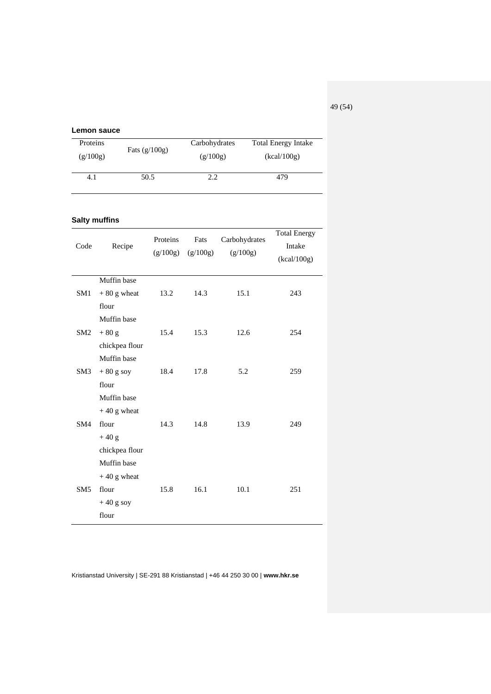49 (54)

<span id="page-48-1"></span><span id="page-48-0"></span>

|                 | Lemon sauce          |                      |                  |                           |                                              |
|-----------------|----------------------|----------------------|------------------|---------------------------|----------------------------------------------|
| Proteins        |                      | Fats $(g/100g)$      |                  | Carbohydrates             | <b>Total Energy Intake</b>                   |
| (g/100g)        |                      |                      |                  | (g/100g)                  | (kcal/100g)                                  |
| 4.1             |                      | 50.5                 | 2.2              |                           | 479                                          |
|                 | <b>Salty muffins</b> |                      |                  |                           |                                              |
| Code            | Recipe               | Proteins<br>(g/100g) | Fats<br>(g/100g) | Carbohydrates<br>(g/100g) | <b>Total Energy</b><br>Intake<br>(kcal/100g) |
|                 | Muffin base          |                      |                  |                           |                                              |
| SM1             | $+80$ g wheat        | 13.2                 | 14.3             | 15.1                      | 243                                          |
|                 | flour                |                      |                  |                           |                                              |
|                 | Muffin base          |                      |                  |                           |                                              |
| SM2             | $+80$ g              | 15.4                 | 15.3             | 12.6                      | 254                                          |
|                 | chickpea flour       |                      |                  |                           |                                              |
|                 | Muffin base          |                      |                  |                           |                                              |
| SM3             | $+80$ g soy          | 18.4                 | 17.8             | 5.2                       | 259                                          |
|                 | flour                |                      |                  |                           |                                              |
|                 | Muffin base          |                      |                  |                           |                                              |
|                 | $+40$ g wheat        |                      |                  |                           |                                              |
| SM4             | flour                | 14.3                 | 14.8             | 13.9                      | 249                                          |
|                 | $+40$ g              |                      |                  |                           |                                              |
|                 | chickpea flour       |                      |                  |                           |                                              |
|                 | Muffin base          |                      |                  |                           |                                              |
|                 | $+40$ g wheat        |                      |                  |                           |                                              |
| SM <sub>5</sub> | flour                | 15.8                 | 16.1             | 10.1                      | 251                                          |
|                 | $+40$ g soy          |                      |                  |                           |                                              |
|                 | flour                |                      |                  |                           |                                              |
|                 |                      |                      |                  |                           |                                              |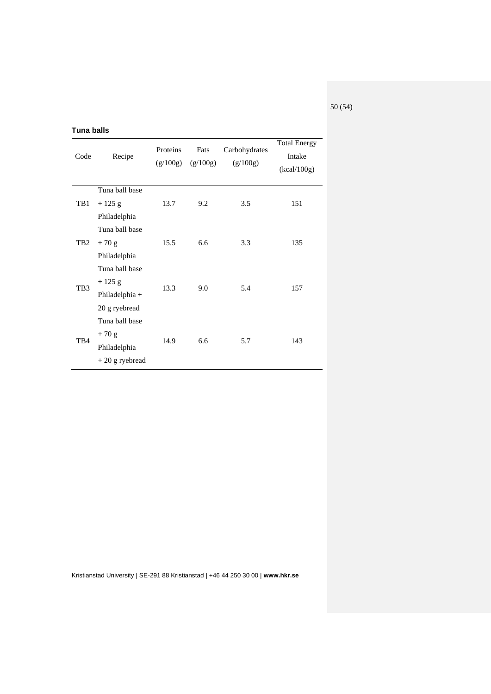50 (54)

## <span id="page-49-0"></span>**Tuna balls**

| Code                   | Recipe           | Proteins<br>(g/100g) | Fats<br>(g/100g) | Carbohydrates<br>(g/100g) | <b>Total Energy</b><br>Intake<br>(kcal/100g) |  |
|------------------------|------------------|----------------------|------------------|---------------------------|----------------------------------------------|--|
|                        | Tuna ball base   |                      |                  |                           |                                              |  |
| TB1<br>TB <sub>2</sub> | $+125$ g         | 13.7                 | 9.2              | 3.5                       | 151                                          |  |
|                        | Philadelphia     |                      |                  |                           |                                              |  |
|                        | Tuna ball base   |                      |                  | 3.3                       | 135                                          |  |
|                        | $+70$ g          | 15.5                 | 6.6              |                           |                                              |  |
|                        | Philadelphia     |                      |                  |                           |                                              |  |
|                        | Tuna ball base   |                      |                  |                           |                                              |  |
| TB <sub>3</sub>        | $+125$ g         | 13.3                 | 9.0              | 5.4                       | 157                                          |  |
|                        | Philadelphia +   |                      |                  |                           |                                              |  |
|                        | 20 g ryebread    |                      |                  |                           |                                              |  |
|                        | Tuna ball base   |                      |                  |                           |                                              |  |
| TB4                    | $+70$ g          | 14.9                 | 6.6              | 5.7                       | 143                                          |  |
|                        | Philadelphia     |                      |                  |                           |                                              |  |
|                        | $+20$ g ryebread |                      |                  |                           |                                              |  |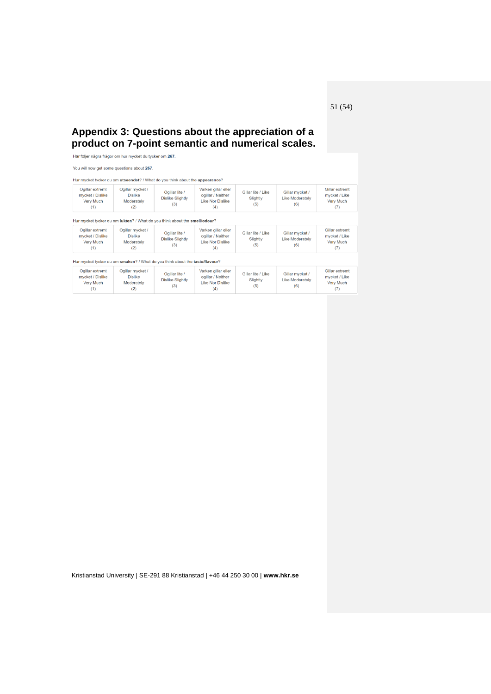# <span id="page-50-0"></span>**Appendix 3: Questions about the appreciation of a product on 7-point semantic and numerical scales.**

Här följer några frågor om hur mycket du tycker om 267.

| You will now get some questions about 267. |  |
|--------------------------------------------|--|
|--------------------------------------------|--|

| Hur mycket tycker du om utseendet? / What do you think about the appearanc |  |  |  |  |  |
|----------------------------------------------------------------------------|--|--|--|--|--|
|----------------------------------------------------------------------------|--|--|--|--|--|

| Ogillar extremt<br>mycket / Dislike<br><b>Very Much</b><br>(1) | Ogillar mycket /<br><b>Dislike</b><br>Moderately<br>(2)                    | Ogillar lite /<br><b>Dislike Slightly</b><br>(3) | Varken gillar eller<br>ogillar / Neither<br><b>Like Nor Dislike</b><br>(4) | Gillar lite / Like<br>Slightly<br>(5) | Gillar mycket /<br><b>Like Moderately</b><br>(6) | Gillar extremt<br>mycket / Like<br>Very Much<br>(7)        |
|----------------------------------------------------------------|----------------------------------------------------------------------------|--------------------------------------------------|----------------------------------------------------------------------------|---------------------------------------|--------------------------------------------------|------------------------------------------------------------|
|                                                                | Hur mycket tycker du om lukten? / What do you think about the smell/odour? |                                                  |                                                                            |                                       |                                                  |                                                            |
| Ogillar extremt<br>mycket / Dislike<br><b>Very Much</b><br>(1) | Ogillar mycket /<br><b>Dislike</b><br>Moderately<br>(2)                    | Ogillar lite /<br><b>Dislike Slightly</b><br>(3) | Varken gillar eller<br>ogillar / Neither<br><b>Like Nor Dislike</b><br>(4) | Gillar lite / Like<br>Slightly<br>(5) | Gillar mycket /<br><b>Like Moderately</b><br>(6) | Gillar extremt<br>mycket / Like<br><b>Very Much</b><br>(7) |

| Hur mycket tycker du om smaken? / What do you think about the taste/flavour? |  |
|------------------------------------------------------------------------------|--|

| Ogillar extremt<br>mycket / Dislike<br><b>Very Much</b> | Ogillar mycket /<br><b>Dislike</b><br>Moderately<br>(2) | Ogillar lite /<br><b>Dislike Slightly</b><br>(3) | Varken gillar eller<br>ogillar / Neither<br>Like Nor Dislike<br>(4) | Gillar lite / Like<br>Slightly<br>(5) | Gillar mycket /<br><b>Like Moderately</b><br>(6) | Gillar extremt<br>mycket / Like<br><b>Very Much</b><br>(7) |
|---------------------------------------------------------|---------------------------------------------------------|--------------------------------------------------|---------------------------------------------------------------------|---------------------------------------|--------------------------------------------------|------------------------------------------------------------|
|---------------------------------------------------------|---------------------------------------------------------|--------------------------------------------------|---------------------------------------------------------------------|---------------------------------------|--------------------------------------------------|------------------------------------------------------------|

Kristianstad University | SE-291 88 Kristianstad | +46 44 250 30 00 | **www.hkr.se**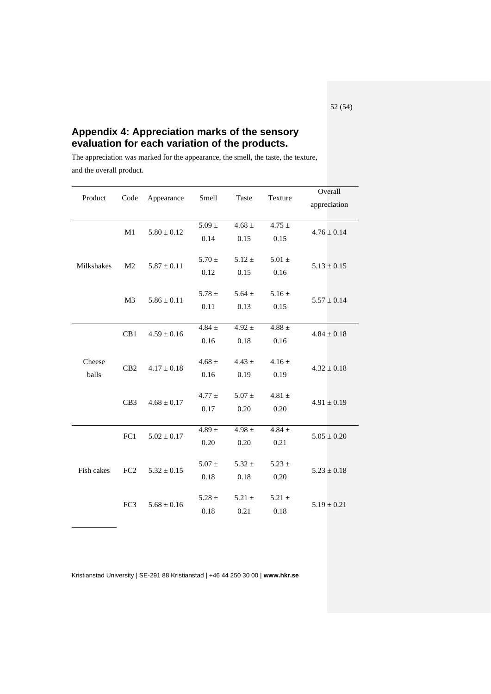# <span id="page-51-0"></span>**Appendix 4: Appreciation marks of the sensory evaluation for each variation of the products.**

The appreciation was marked for the appearance, the smell, the taste, the texture, and the overall product.

| Product         | Code            | Appearance      | Smell      | Taste      | Texture    | Overall         |  |      |      |      |
|-----------------|-----------------|-----------------|------------|------------|------------|-----------------|--|------|------|------|
|                 |                 |                 |            |            |            | appreciation    |  |      |      |      |
|                 |                 |                 |            |            |            |                 |  |      |      |      |
|                 | M1              | $5.80 \pm 0.12$ | $5.09 \pm$ | $4.68 \pm$ | $4.75 \pm$ | $4.76 \pm 0.14$ |  |      |      |      |
|                 |                 |                 | 0.14       | 0.15       | 0.15       |                 |  |      |      |      |
|                 |                 |                 | 5.70 $\pm$ | $5.12 \pm$ | $5.01 \pm$ |                 |  |      |      |      |
| Milkshakes      | M <sub>2</sub>  | $5.87 \pm 0.11$ |            |            |            | $5.13 \pm 0.15$ |  |      |      |      |
|                 |                 |                 | 0.12       | 0.15       | 0.16       |                 |  |      |      |      |
|                 |                 |                 | 5.78 $\pm$ | 5.64 $\pm$ | $5.16 \pm$ |                 |  |      |      |      |
|                 | M <sub>3</sub>  | $5.86 \pm 0.11$ | 0.11       | 0.13       | 0.15       | $5.57 \pm 0.14$ |  |      |      |      |
|                 |                 |                 |            |            |            |                 |  |      |      |      |
|                 | CB1             |                 | 4.84 $\pm$ | $4.92 \pm$ | 4.88 $\pm$ |                 |  |      |      |      |
|                 |                 | $4.59 \pm 0.16$ | 0.16       | 0.18       | 0.16       | $4.84 \pm 0.18$ |  |      |      |      |
|                 |                 |                 |            |            |            |                 |  |      |      |      |
| Cheese<br>balls | CB2             | $4.17 \pm 0.18$ | 4.68 $\pm$ | $4.43 \pm$ | $4.16 \pm$ |                 |  |      |      |      |
|                 |                 |                 | 0.16       | 0.19       | 0.19       | $4.32 \pm 0.18$ |  |      |      |      |
|                 | CB3             | $4.68 \pm 0.17$ |            |            |            |                 |  |      |      |      |
|                 |                 |                 | $4.77 \pm$ | $5.07 \pm$ | 4.81 $\pm$ | $4.91 \pm 0.19$ |  |      |      |      |
|                 |                 |                 | 0.17       | 0.20       | 0.20       |                 |  |      |      |      |
|                 |                 |                 |            |            |            |                 |  |      |      |      |
|                 | FC1             | $5.02 \pm 0.17$ | 4.89 $\pm$ | $4.98 \pm$ | 4.84 $\pm$ | $5.05 \pm 0.20$ |  |      |      |      |
| Fish cakes      |                 |                 | 0.20       | 0.20       | 0.21       |                 |  |      |      |      |
|                 | FC <sub>2</sub> |                 |            |            |            |                 |  |      |      |      |
|                 |                 | $5.32 \pm 0.15$ | $5.07 \pm$ | $5.32 \pm$ | $5.23 \pm$ | $5.23 \pm 0.18$ |  |      |      |      |
|                 |                 |                 | 0.18       | 0.18       | 0.20       |                 |  |      |      |      |
|                 |                 |                 | 5.28 $\pm$ | $5.21 \pm$ | $5.21 \pm$ |                 |  |      |      |      |
|                 | FC3             | $5.68 \pm 0.16$ |            |            |            | $5.19 \pm 0.21$ |  |      |      |      |
|                 |                 |                 |            |            |            |                 |  | 0.18 | 0.21 | 0.18 |

Kristianstad University | SE-291 88 Kristianstad | +46 44 250 30 00 | **www.hkr.se**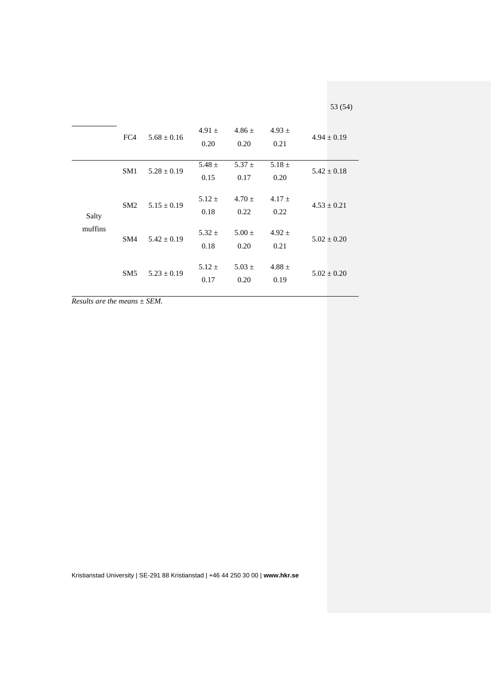|                  | FC4             | $5.68 + 0.16$   | 4.91 $\pm$<br>0.20 | $4.86 +$<br>0.20   | $4.93 \pm$<br>0.21 | $4.94 \pm 0.19$ |
|------------------|-----------------|-----------------|--------------------|--------------------|--------------------|-----------------|
| Salty<br>muffins | SM <sub>1</sub> | $5.28 \pm 0.19$ | 5.48 $\pm$<br>0.15 | $5.37 \pm$<br>0.17 | 5.18 $\pm$<br>0.20 | $5.42 \pm 0.18$ |
|                  | SM2             | $5.15 \pm 0.19$ | $5.12 \pm$<br>0.18 | $4.70 +$<br>0.22   | $4.17 +$<br>0.22   | $4.53 \pm 0.21$ |
|                  | SM4             | $5.42 + 0.19$   | $5.32 \pm$<br>0.18 | $5.00 +$<br>0.20   | $4.92 \pm$<br>0.21 | $5.02 \pm 0.20$ |
|                  | SM <sub>5</sub> | $5.23 \pm 0.19$ | $5.12 \pm$<br>0.17 | $5.03 +$<br>0.20   | $4.88 \pm$<br>0.19 | $5.02 \pm 0.20$ |

*Results are the means ± SEM.*

Kristianstad University | SE-291 88 Kristianstad | +46 44 250 30 00 | **www.hkr.se**